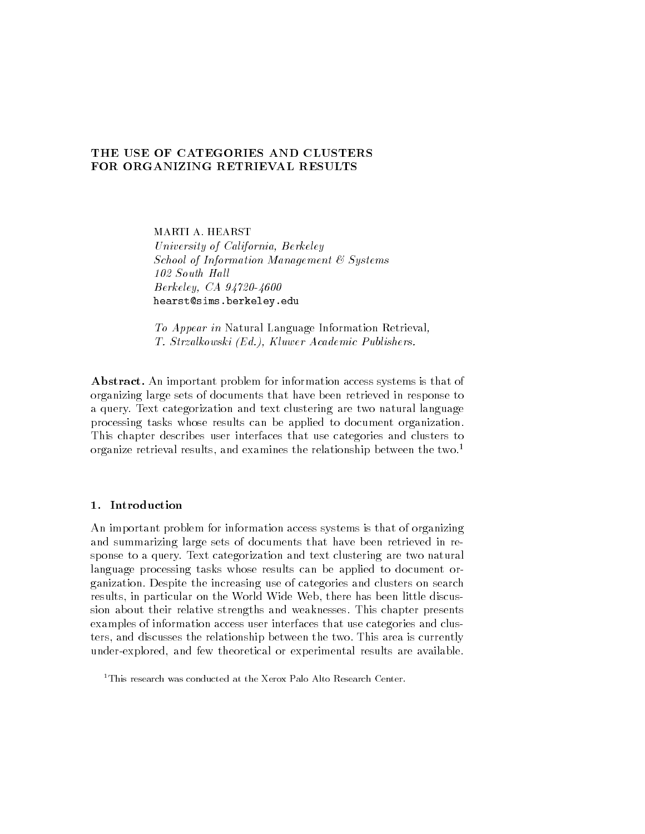## THE USE OF CATEGORIES AND CLUSTERS FOR ORGANIZING RETRIEVAL RESULTS

MARTI A. HEARST University of California, Berkeley School of Information Management & Systems 102 South Hall Berkeley, CA 94720-4600 hearst@sims.berkeley.edu

To Appear in Natural Language Information Retrieval, T. Strzalkowski (Ed.), Kluwer Academic Publishers.

Abstract. An important problem for information access systems is that of organizing large sets of documents that have been retrieved in response to a query. Text categorization and text clustering are two natural language processing tasks whose results can be applied to document organization. This chapter describes user interfaces that use categories and clusters to organize retrieval results, and examines the relationship between the two.<sup>1</sup>

### 1. Introduction

An important problem for information access systems is that of organizing and summarizing large sets of documents that have been retrieved in response to a query. Text categorization and text clustering are two natural language processing tasks whose results can be applied to document organization. Despite the increasing use of categories and clusters on search results, in particular on the World Wide Web, there has been little discussion about their relative strengths and weaknesses. This chapter presents examples of information access user interfaces that use categories and clusters, and discusses the relationship between the two. This area is currently under-explored, and few theoretical or experimental results are available.

<sup>&</sup>lt;sup>1</sup>This research was conducted at the Xerox Palo Alto Research Center.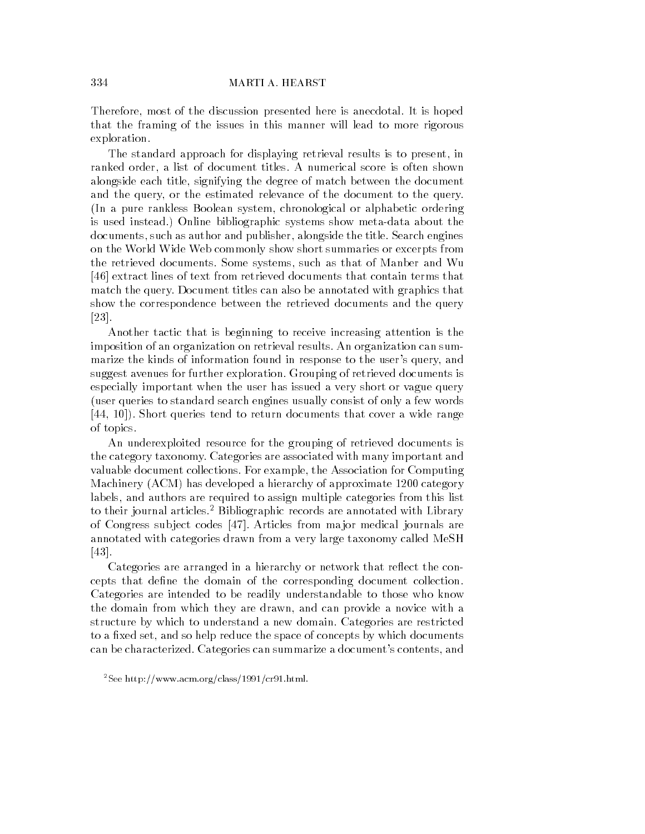Therefore, most of the discussion presented here is anecdotal. It is hoped that the framing of the issues in this manner will lead to more rigorous exploration.

The standard approach for displaying retrieval results is to present, in ranked order, a list of document titles. A numerical score is often shown alongside each title, signifying the degree of match between the document and the query, or the estimated relevance of the document to the query. (In a pure rankless Boolean system, chronological or alphabetic ordering is used instead.) Online bibliographic systems show meta-data about the documents, such as author and publisher, alongside the title. Search engines on the World Wide Web commonly show short summaries or excerpts from the retrieved documents. Some systems, such as that of Manber and Wu [46] extract lines of text from retrieved documents that contain terms that match the query. Document titles can also be annotated with graphics that show the correspondence between the retrieved documents and the query [23].

Another tactic that is beginning to receive increasing attention is the imposition of an organization on retrieval results. An organization can summarize the kinds of information found in response to the user's query, and suggest avenues for further exploration. Grouping of retrieved documents is especially important when the user has issued a very short or vague query (user queries to standard search engines usually consist of only a few words [44, 10]). Short queries tend to return documents that cover a wide range of topics.

An underexploited resource for the grouping of retrieved documents is the category taxonomy. Categories are associated with many important and valuable document collections. For example, the Association for Computing Machinery (ACM) has developed a hierarchy of approximate 1200 category labels, and authors are required to assign multiple categories from this list to their journal articles.<sup>2</sup> Bibliographic records are annotated with Library of Congress sub ject codes [47]. Articles from ma jor medical journals are annotated with categories drawn from a very large taxonomy called MeSH [43].

Categories are arranged in a hierarchy or network that reflect the concepts that define the domain of the corresponding document collection. Categories are intended to be readily understandable to those who know the domain from which they are drawn, and can provide a novice with a structure by which to understand a new domain. Categories are restricted to a fixed set, and so help reduce the space of concepts by which documents can be characterized. Categories can summarize a document's contents, and

<sup>&</sup>lt;sup>2</sup>See http://www.acm.org/class/1991/cr91.html.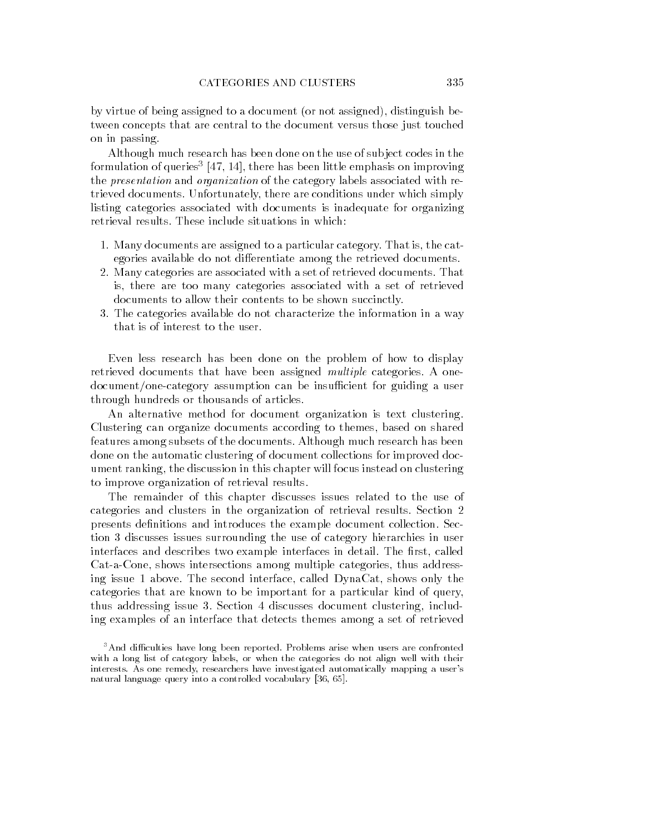by virtue of being assigned to a document (or not assigned), distinguish between concepts that are central to the document versus those just touched on in passing.

Although much research has been done on the use of sub ject codes in the rormulation of queries" [47, 14], there has been little emphasis on improving the presentation and organization of the category labels associated with retrieved documents. Unfortunately, there are conditions under which simply listing categories associated with documents is inadequate for organizing retrieval results. These include situations in which:

- 1. Many documents are assigned to a particular category. That is, the categories available do not differentiate among the retrieved documents.
- 2. Many categories are associated with a set of retrieved documents. That is, there are too many categories associated with a set of retrieved documents to allow their contents to be shown succinctly.
- 3. The categories available do not characterize the information in a way that is of interest to the user.

Even less research has been done on the problem of how to display retrieved documents that have been assigned multiple categories. A onedocument/one-category assumption can be insufficient for guiding a user through hundreds or thousands of articles.

An alternative method for document organization is text clustering. Clustering can organize documents according to themes, based on shared features among subsets of the documents. Although much research has been done on the automatic clustering of document collections for improved document ranking, the discussion in this chapter will focus instead on clustering to improve organization of retrieval results.

The remainder of this chapter discusses issues related to the use of categories and clusters in the organization of retrieval results. Section 2 presents definitions and introduces the example document collection. Section 3 discusses issues surrounding the use of category hierarchies in user interfaces and describes two example interfaces in detail. The first, called Cat-a-Cone, shows intersections among multiple categories, thus addressing issue 1 above. The second interface, called DynaCat, shows only the categories that are known to be important for a particular kind of query, thus addressing issue 3. Section 4 discusses document clustering, including examples of an interface that detects themes among a set of retrieved

<sup>&</sup>lt;sup>3</sup>And difficulties have long been reported. Problems arise when users are confronted with a long list of category labels, or when the categories do not align well with their interests. As one remedy, researchers have investigated automatically mapping a user's natural language query into a controlled vocabulary [36, 65].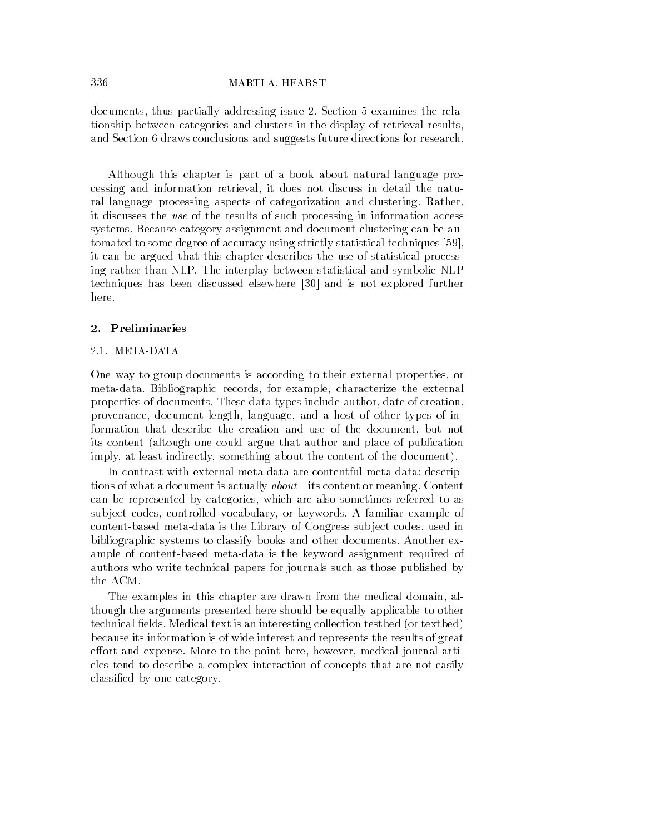documents, thus partially addressing issue 2. Section 5 examines the relationship between categories and clusters in the display of retrieval results, and Section 6 draws conclusions and suggests future directions for research.

Although this chapter is part of a book about natural language processing and information retrieval, it does not discuss in detail the natural language processing aspects of categorization and clustering. Rather, it discusses the use of the results of such processing in information access systems. Because category assignment and document clustering can be automated to some degree of accuracy using strictly statistical techniques [59], it can be argued that this chapter describes the use of statistical processing rather than NLP. The interplay between statistical and symbolic NLP techniques has been discussed elsewhere [30] and is not explored further here.

## 2. Preliminaries

## 2.1. META-DATA

One way to group documents is according to their external properties, or meta-data. Bibliographic records, for example, characterize the external properties of documents. These data types include author, date of creation, provenance, document length, language, and a host of other types of information that describe the creation and use of the document, but not its content (altough one could argue that author and place of publication imply, at least indirectly, something about the content of the document).

In contrast with external meta-data are contentful meta-data: descriptions of what a document is actually *about* – its content or meaning. Content can be represented by categories, which are also sometimes referred to as sub ject codes, controlled vocabulary, or keywords. A familiar example of content-based meta-data is the Library of Congress sub ject codes, used in bibliographic systems to classify books and other documents. Another example of content-based meta-data is the keyword assignment required of authors who write technical papers for journals such as those published by the ACM.

The examples in this chapter are drawn from the medical domain, although the arguments presented here should be equally applicable to other technical fields. Medical text is an interesting collection testbed (or textbed) because its information is of wide interest and represents the results of great effort and expense. More to the point here, however, medical journal articles tend to describe a complex interaction of concepts that are not easily classied by one category.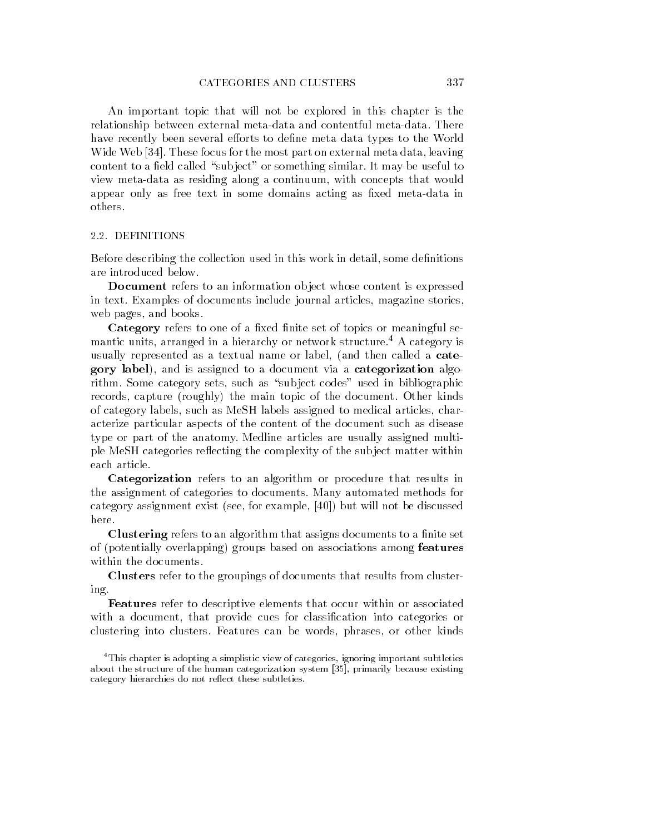An important topic that will not be explored in this chapter is the relationship between external meta-data and contentful meta-data. There have recently been several efforts to define meta data types to the World Wide Web [34]. These focus for the most part on external meta data, leaving content to a field called "subject" or something similar. It may be useful to view meta-data as residing along a continuum, with concepts that would appear only as free text in some domains acting as fixed meta-data in others.

#### 2.2. DEFINITIONS

Before describing the collection used in this work in detail, some definitions are introduced below.

Document refers to an information ob ject whose content is expressed in text. Examples of documents include journal articles, magazine stories, web pages, and books.

Category refers to one of a fixed finite set of topics or meaningful semantic units, arranged in a hierarchy or network structure.<sup>4</sup> A category is usually represented as a textual name or label, (and then called a category label), and is assigned to a document via a categorization algorithm. Some category sets, such as "subject codes" used in bibliographic records, capture (roughly) the main topic of the document. Other kinds of category labels, such as MeSH labels assigned to medical articles, characterize particular aspects of the content of the document such as disease type or part of the anatomy. Medline articles are usually assigned multiple MeSH categories reflecting the complexity of the subject matter within each article.

Categorization refers to an algorithm or procedure that results in the assignment of categories to documents. Many automated methods for category assignment exist (see, for example, [40]) but will not be discussed here.

Clustering refers to an algorithm that assigns documents to a finite set of (potentially overlapping) groups based on associations among features within the documents.

Clusters refer to the groupings of documents that results from clustering.

Features refer to descriptive elements that occur within or associated with a document, that provide cues for classification into categories or clustering into clusters. Features can be words, phrases, or other kinds

<sup>4</sup>This chapter is adopting a simplistic view of categories, ignoring important subtleties about the structure of the human categorization system [35], primarily because existing category hierarchies do not reflect these subtleties.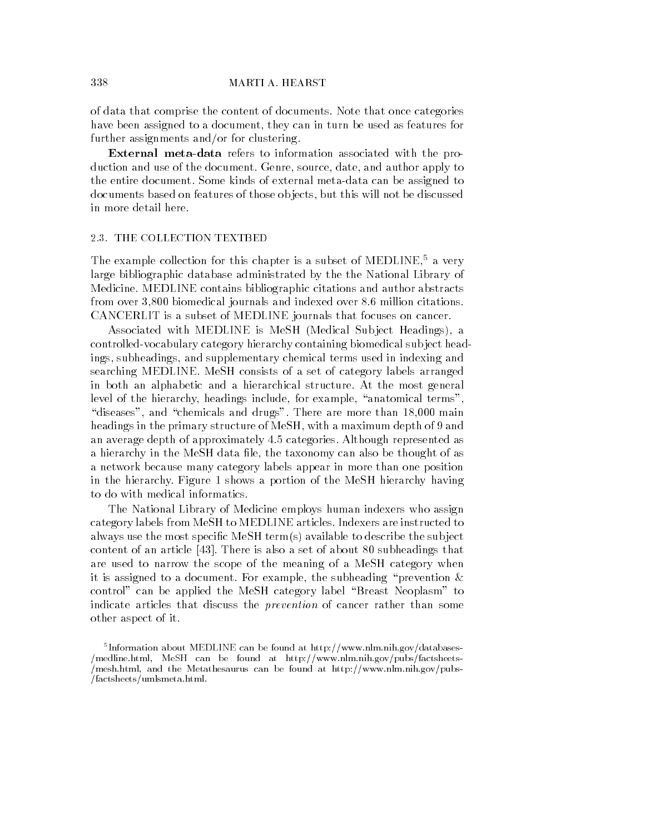of data that comprise the content of documents. Note that once categories have been assigned to a document, they can in turn be used as features for further assignments and/or for clustering.

External meta-data refers to information associated with the production and use of the document. Genre, source, date, and author apply to the entire document. Some kinds of external meta-data can be assigned to documents based on features of those ob jects, but this will not be discussed in more detail here.

## 2.3. THE COLLECTION TEXTBED

The example collection for this chapter is a subset of MEDLINE,<sup>5</sup> a very large bibliographic database administrated by the the National Library of Medicine. MEDLINE contains bibliographic citations and author abstracts from over 3,800 biomedical journals and indexed over 8.6 million citations. CANCERLIT is a subset of MEDLINE journals that focuses on cancer.

Associated with MEDLINE is MeSH (Medical Sub ject Headings), a controlled-vocabulary category hierarchy containing biomedical sub ject headings, subheadings, and supplementary chemical terms used in indexing and searching MEDLINE. MeSH consists of a set of category labels arranged in both an alphabetic and a hierarchical structure. At the most general level of the hierarchy, headings include, for example, "anatomical terms", "diseases", and "chemicals and drugs". There are more than 18,000 main headings in the primary structure of MeSH, with a maximum depth of 9 and an average depth of approximately 4.5 categories. Although represented as a hierarchy in the MeSH data file, the taxonomy can also be thought of as a network because many category labels appear in more than one position in the hierarchy. Figure 1 shows a portion of the MeSH hierarchy having to do with medical informatics.

The National Library of Medicine employs human indexers who assign category labels from MeSH to MEDLINE articles. Indexers are instructed to always use the most specific MeSH term(s) available to describe the subject content of an article [43]. There is also a set of about 80 subheadings that are used to narrow the scope of the meaning of a MeSH category when it is assigned to a document. For example, the subheading "prevention  $\&$ control" can be applied the MeSH category label "Breast Neoplasm" to indicate articles that discuss the prevention of cancer rather than some other aspect of it.

<sup>5</sup> Information about MEDLINE can be found at http://www.nlm.nih.gov/databases- /medline.html, MeSH can be found at http://www.nlm.nih.gov/pubs/factsheets- /mesh.html, and the Metathesaurus can be found at http://www.nlm.nih.gov/pubs- /factsheets/umlsmeta.html.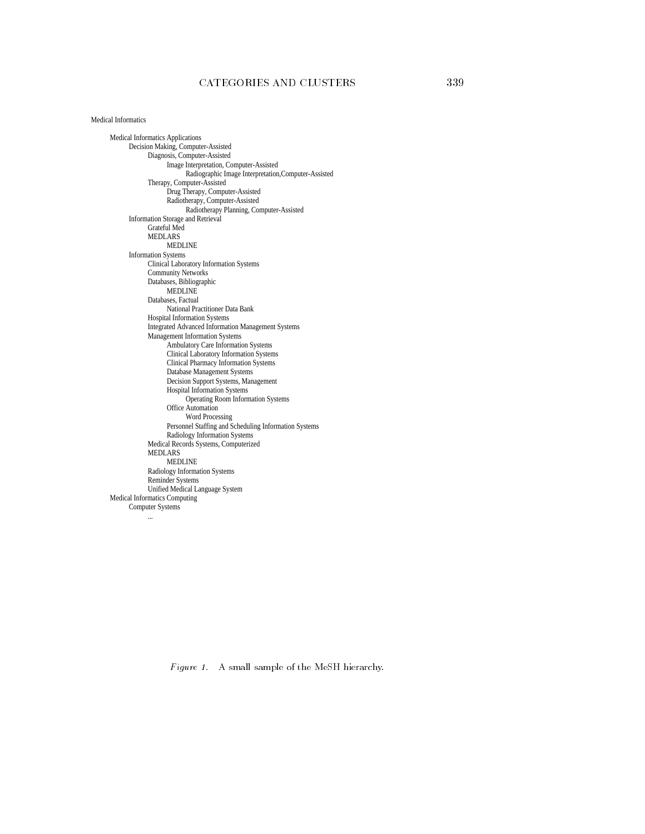#### Medical Informatics

Medical Informatics Applications Decision Making, Computer-Assisted Diagnosis, Computer-Assisted Image Interpretation, Computer-Assisted Radiographic Image Interpretation,Computer-Assisted Therapy, Computer-Assisted Drug Therapy, Computer-Assisted Radiotherapy, Computer-Assisted Radiotherapy Planning, Computer-Assisted Information Storage and Retrieval Grateful Med MEDLARS **MEDLINE** Information Systems Clinical Laboratory Information Systems Community Networks Databases, Bibliographic **MEDLINE** Databases, Factual National Practitioner Data Bank Hospital Information Systems Integrated Advanced Information Management Systems Management Information Systems Ambulatory Care Information Systems Clinical Laboratory Information Systems Clinical Pharmacy Information Systems Database Management Systems Decision Support Systems, Management Hospital Information Systems Operating Room Information Systems Office Automation Word Processing Personnel Staffing and Scheduling Information Systems Radiology Information Systems Medical Records Systems, Computerized MEDLARS MEDLINE Radiology Information Systems Reminder Systems Unified Medical Language System Medical Informatics Computing Computer Systems

...

Figure 1. A small sample of the MeSH hierarchy.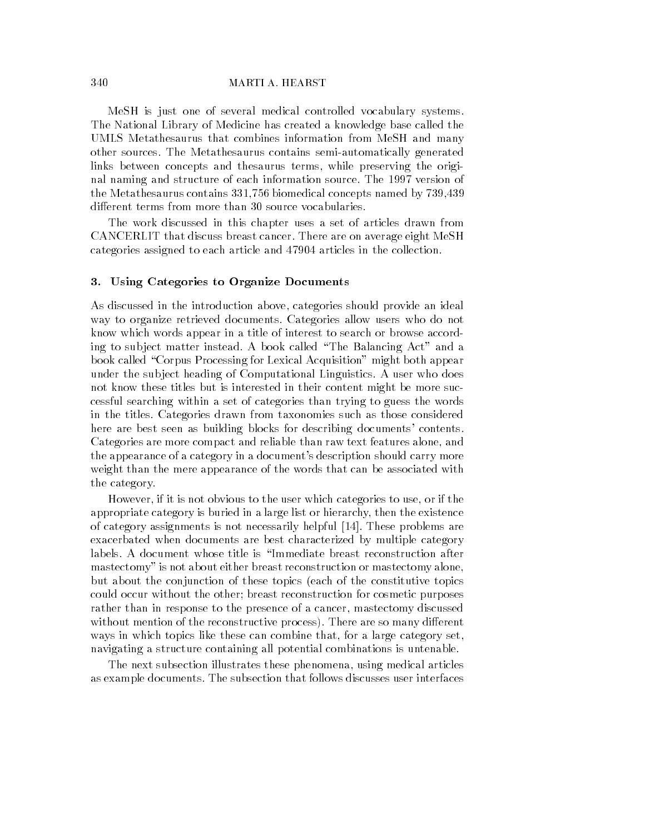MeSH is just one of several medical controlled vocabulary systems. The National Library of Medicine has created a knowledge base called the UMLS Metathesaurus that combines information from MeSH and many other sources. The Metathesaurus contains semi-automatically generated links between concepts and thesaurus terms, while preserving the original naming and structure of each information source. The 1997 version of the Metathesaurus contains 331,756 biomedical concepts named by 739,439 different terms from more than 30 source vocabularies.

The work discussed in this chapter uses a set of articles drawn from CANCERLIT that discuss breast cancer. There are on average eight MeSH categories assigned to each article and 47904 articles in the collection.

### 3. Using Categories to Organize Documents

As discussed in the introduction above, categories should provide an ideal way to organize retrieved documents. Categories allow users who do not know which words appear in a title of interest to search or browse according to sub ject matter instead. A book called \The Balancing Act" and a book called \Corpus Processing for Lexical Acquisition" might both appear under the sub ject heading of Computational Linguistics. A user who does not know these titles but is interested in their content might be more successful searching within a set of categories than trying to guess the words in the titles. Categories drawn from taxonomies such as those considered here are best seen as building blocks for describing documents' contents. Categories are more compact and reliable than raw text features alone, and the appearance of a category in a document's description should carry more weight than the mere appearance of the words that can be associated with the category.

However, if it is not obvious to the user which categories to use, or if the appropriate category is buried in a large list or hierarchy, then the existence of category assignments is not necessarily helpful [14]. These problems are exacerbated when documents are best characterized by multiple category labels. A document whose title is \Immediate breast reconstruction after mastectomy" is not about either breast reconstruction or mastectomy alone, but about the conjunction of these topics (each of the constitutive topics could occur without the other; breast reconstruction for cosmetic purposes rather than in response to the presence of a cancer, mastectomy discussed without mention of the reconstructive process). There are so many different ways in which topics like these can combine that, for a large category set, navigating a structure containing all potential combinations is untenable.

The next subsection illustrates these phenomena, using medical articles as example documents. The subsection that follows discusses user interfaces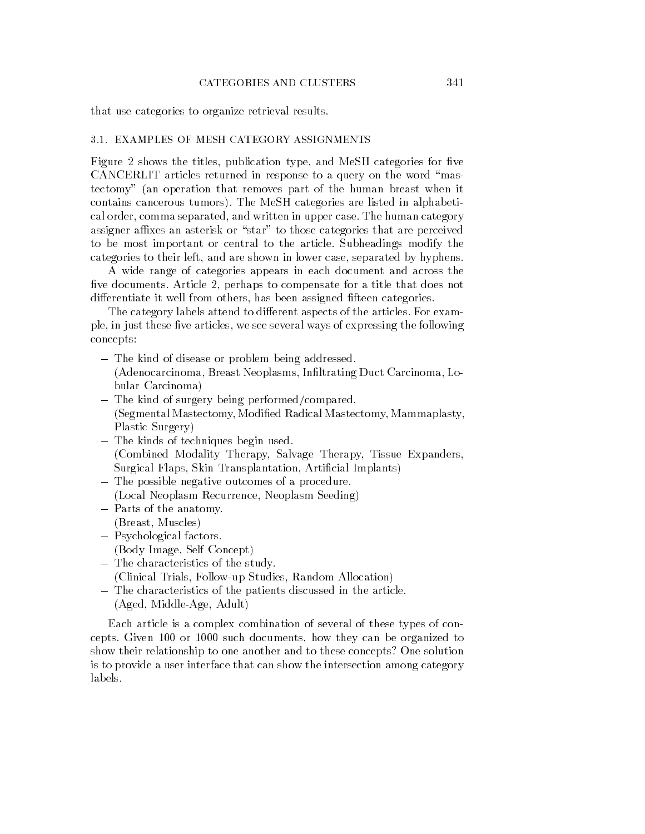that use categories to organize retrieval results.

## 3.1. EXAMPLES OF MESH CATEGORY ASSIGNMENTS

Figure 2 shows the titles, publication type, and MeSH categories for five CANCERLIT articles returned in response to a query on the word "mastectomy" (an operation that removes part of the human breast when it contains cancerous tumors). The MeSH categories are listed in alphabetical order, comma separated, and written in upper case. The human category assigner affixes an asterisk or "star" to those categories that are perceived to be most important or central to the article. Subheadings modify the categories to their left, and are shown in lower case, separated by hyphens.

A wide range of categories appears in each document and across the five documents. Article 2, perhaps to compensate for a title that does not differentiate it well from others, has been assigned fifteen categories.

The category labels attend to different aspects of the articles. For example, in just these five articles, we see several ways of expressing the following concepts:

- The kind of disease or problem being addressed. (Adenocarcinoma, Breast Neoplasms, Inltrating Duct Carcinoma, Lobular Carcinoma)
- The kind of surgery being performed/compared. (Segmental Mastectomy, Modied Radical Mastectomy, Mammaplasty, Plastic Surgery)
- The kinds of techniques begin used. (Combined Modality Therapy, Salvage Therapy, Tissue Expanders, Surgical Flaps, Skin Transplantation, Articial Implants)
- The possible negative outcomes of a procedure.
- (Local Neoplasm Recurrence, Neoplasm Seeding)
- Parts of the anatomy. (Breast, Muscles)
- Psychological factors.
- (Body Image, Self Concept)
- The characteristics of the study.
- (Clinical Trials, Follow-up Studies, Random Allocation)
- The characteristics of the patients discussed in the article.
- (Aged, Middle-Age, Adult)

Each article is a complex combination of several of these types of concepts. Given 100 or 1000 such documents, how they can be organized to show their relationship to one another and to these concepts? One solution is to provide a user interface that can show the intersection among category labels.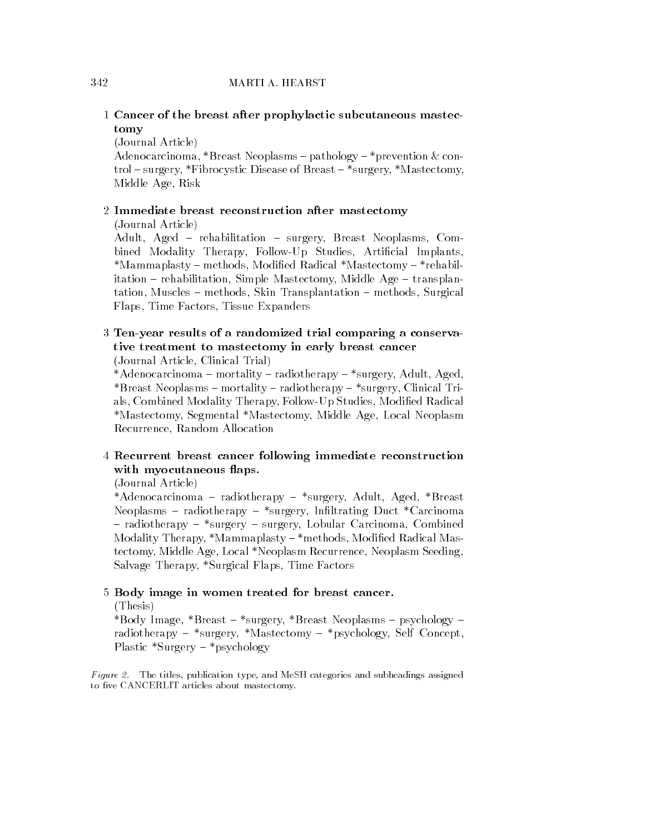# 1 Cancer of the breast after prophylactic subcutaneous mastectomy

(Journal Article)

Adenocarcinoma, \*Breast Neoplasms  $-$  pathology  $-$  \*prevention & control  $-$  surgery, \*Fibrocystic Disease of Breast  $-$  \*surgery, \*Mastectomy, Middle Age, Risk

# 2 Immediate breast reconstruction after mastectomy

(Journal Article)

Adult, Aged - rehabilitation - surgery, Breast Neoplasms, Combined Modality Therapy, Follow-Up Studies, Artificial Implants,  $*$ Mammaplasty – methods, Modified Radical  $*$ Mastectomy –  $*$ rehabilitation  $-$  rehabilitation, Simple Mastectomy, Middle Age  $-$  transplan $tation$ , Muscles  $-$  methods, Skin Transplantation  $-$  methods, Surgical Flaps, Time Factors, Tissue Expanders

# 3 Ten-year results of a randomized trial comparing a conservative treatment to mastectomy in early breast cancer

(Journal Article, Clinical Trial)

\*Adenocarcinoma  $-$  mortality  $-$  radiotherapy  $-$  \*surgery, Adult, Aged, \*Breast Neoplasms  $-$  mortality  $-$  radiotherapy  $-$  \*surgery, Clinical Trials, Combined Modality Therapy, Follow-Up Studies, Modied Radical \*Mastectomy, Segmental \*Mastectomy, Middle Age, Local Neoplasm Recurrence, Random Allocation

# 4 Recurrent breast cancer following immediate reconstruction with myocutaneous flaps.

## (Journal Article)

\*Adenocarcinoma – radiotherapy – \*surgery, Adult, Aged, \*Breast Neoplasms – radiotherapy – \*surgery, Infiltrating Duct \*Carcinoma { radiotherapy { \*surgery { surgery, Lobular Carcinoma, Combined Modality Therapy,  $*$ Mammaplasty  $*$ methods, Modified Radical Mastectomy, Middle Age, Local \*Neoplasm Recurrence, Neoplasm Seeding, Salvage Therapy, \*Surgical Flaps, Time Factors

# 5 Body image in women treated for breast cancer.

(Thesis)

\*Body Image, \*Breast  $-$  \*surgery, \*Breast Neoplasms  $-$  psychology  $$ radiotherapy  $-$  \*surgery, \*Mastectomy  $-$  \*psychology, Self Concept, Plastic  $*Surgery - *psychology$ 

Figure 2. The titles, publication type, and MeSH categories and subheadings assigned to five CANCERLIT articles about mastectomy.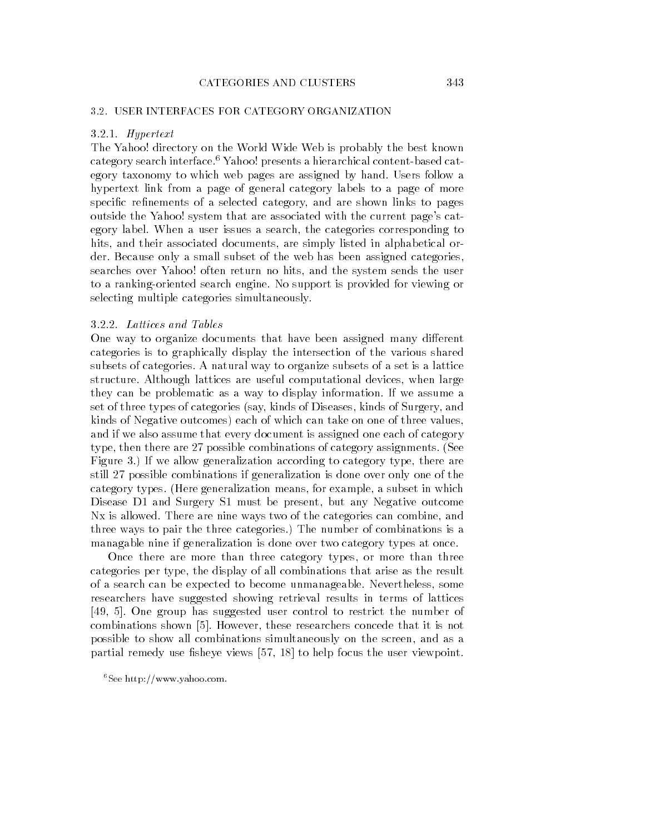## 3.2. USER INTERFACES FOR CATEGORY ORGANIZATION

#### 3.2.1. Hypertext

The Yahoo! directory on the World Wide Web is probably the best known category search interface.<sup>6</sup> Yahoo! presents a hierarchical content-based category taxonomy to which web pages are assigned by hand. Users follow a hypertext link from a page of general category labels to a page of more specific refinements of a selected category, and are shown links to pages outside the Yahoo! system that are associated with the current page's category label. When a user issues a search, the categories corresponding to hits, and their associated documents, are simply listed in alphabetical order. Because only a small subset of the web has been assigned categories, searches over Yahoo! often return no hits, and the system sends the user to a ranking-oriented search engine. No support is provided for viewing or selecting multiple categories simultaneously.

#### 3.2.2. Lattices and Tables

One way to organize documents that have been assigned many different categories is to graphically display the intersection of the various shared subsets of categories. A natural way to organize subsets of a set is a lattice structure. Although lattices are useful computational devices, when large they can be problematic as a way to display information. If we assume a set of three types of categories (say, kinds of Diseases, kinds of Surgery, and kinds of Negative outcomes) each of which can take on one of three values, and if we also assume that every document is assigned one each of category type, then there are 27 possible combinations of category assignments. (See Figure 3.) If we allow generalization according to category type, there are still 27 possible combinations if generalization is done over only one of the category types. (Here generalization means, for example, a subset in which Disease D1 and Surgery S1 must be present, but any Negative outcome Nx is allowed. There are nine ways two of the categories can combine, and three ways to pair the three categories.) The number of combinations is a managable nine if generalization is done over two category types at once.

Once there are more than three category types, or more than three categories per type, the display of all combinations that arise as the result of a search can be expected to become unmanageable. Nevertheless, some researchers have suggested showing retrieval results in terms of lattices [49, 5]. One group has suggested user control to restrict the number of combinations shown [5]. However, these researchers concede that it is not possible to show all combinations simultaneously on the screen, and as a partial remedy use fisheye views  $[57, 18]$  to help focus the user viewpoint.

 $6$ See http://www.yahoo.com.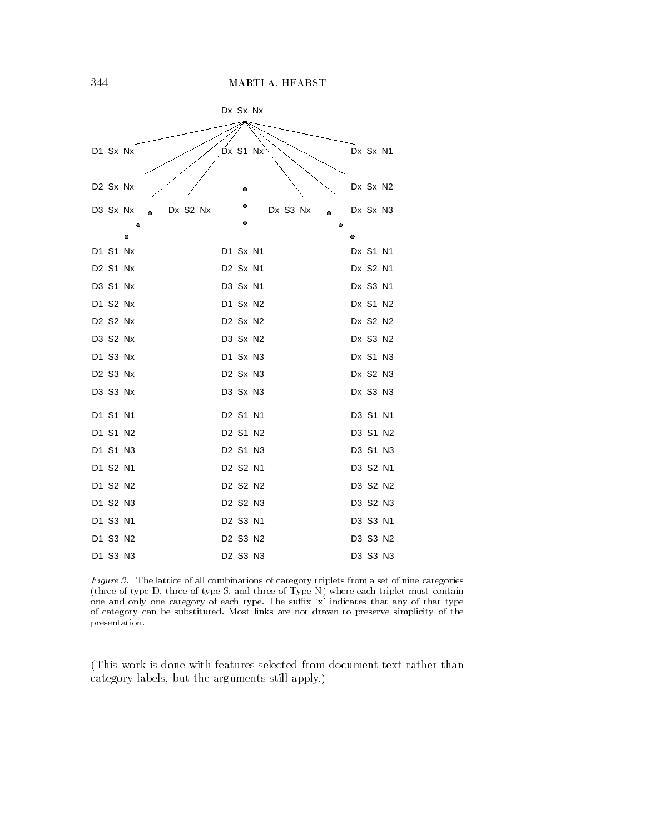

Figure 3. The lattice of all combinations of category triplets from a set of nine categories (three of type D, three of type S, and three of Type N) where each triplet must contain one and only one category of each type. The suffix 'x' indicates that any of that type of category can be substituted. Most links are not drawn to preserve simplicity of the presentation.

(This work is done with features selected from document text rather than category labels, but the arguments still apply.)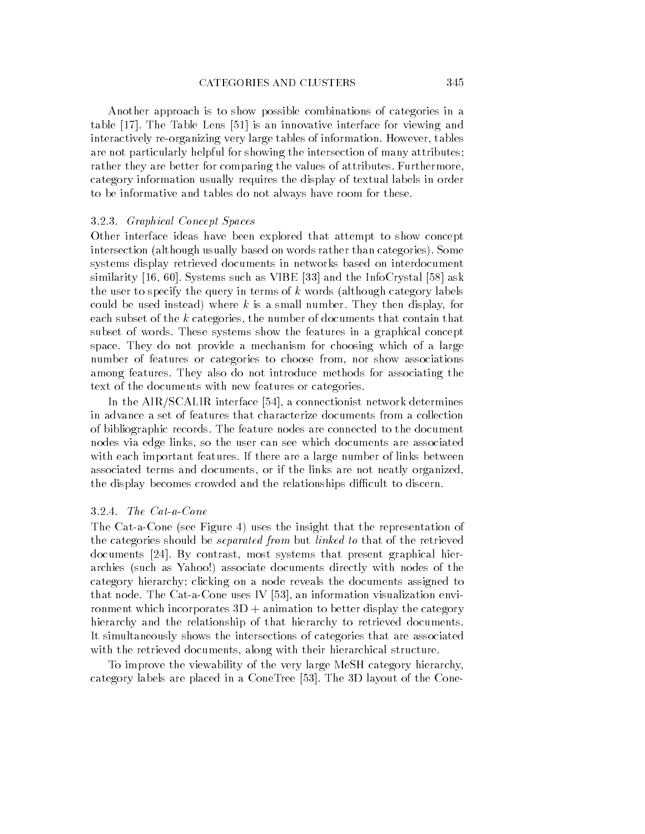Another approach is to show possible combinations of categories in a table [17]. The Table Lens [51] is an innovative interface for viewing and interactively re-organizing very large tables of information. However, tables are not particularly helpful for showing the intersection of many attributes; rather they are better for comparing the values of attributes. Furthermore, category information usually requires the display of textual labels in order to be informative and tables do not always have room for these.

### 3.2.3. Graphical Concept Spaces

Other interface ideas have been explored that attempt to show concept intersection (although usually based on words rather than categories). Some systems display retrieved documents in networks based on interdocument similarity [16, 60]. Systems such as VIBE [33] and the InfoCrystal [58] ask the user to specify the query in terms of k words (although category labels could be used instead) where  $k$  is a small number. They then display, for each subset of the <sup>k</sup> categories, the number of documents that contain that subset of words. These systems show the features in a graphical concept space. They do not provide a mechanism for choosing which of a large number of features or categories to choose from, nor show associations among features. They also do not introduce methods for associating the text of the documents with new features or categories.

In the AIR/SCALIR interface [54], a connectionist network determines in advance a set of features that characterize documents from a collection of bibliographic records. The feature nodes are connected to the document nodes via edge links, so the user can see which documents are associated with each important features. If there are a large number of links between associated terms and documents, or if the links are not neatly organized, the display becomes crowded and the relationships difficult to discern.

#### 3.2.4. The Cat-a-Cone

The Cat-a-Cone (see Figure 4) uses the insight that the representation of the categories should be *separated from* but *linked to* that of the retrieved documents [24]. By contrast, most systems that present graphical hierarchies (such as Yahoo!) associate documents directly with nodes of the category hierarchy; clicking on a node reveals the documents assigned to that node. The Cat-a-Cone uses IV [53], an information visualization environment which incorporates  $3D +$  animation to better display the category hierarchy and the relationship of that hierarchy to retrieved documents. It simultaneously shows the intersections of categories that are associated with the retrieved documents, along with their hierarchical structure.

To improve the viewability of the very large MeSH category hierarchy, category labels are placed in a ConeTree [53]. The 3D layout of the Cone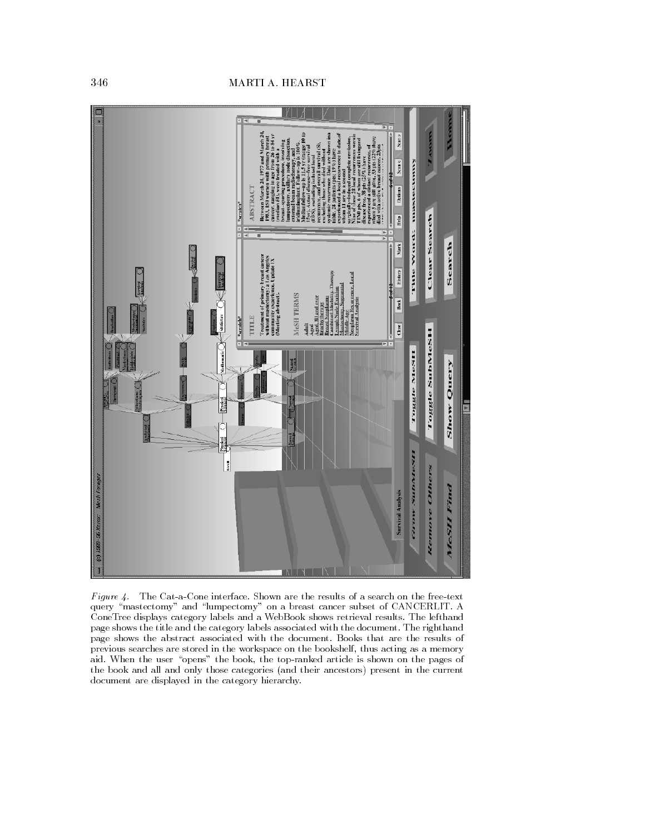346 MARTI A. HEARST



Figure 4. The Cat-a-Cone interface. Shown are the results of a search on the free-text query "mastectomy" and "lumpectomy" on a breast cancer subset of CANCERLIT. A ConeTree displays category labels and a WebBook shows retrieval results. The lefthand page shows the title and the category labels associated with the document. The righthand page shows the abstract associated with the document. Books that are the results of previous searches are stored in the workspace on the bookshelf, thus acting as a memory aid. When the user "opens" the book, the top-ranked article is shown on the pages of the book and all and only those categories (and their ancestors) present in the current document are displayed in the category hierarchy.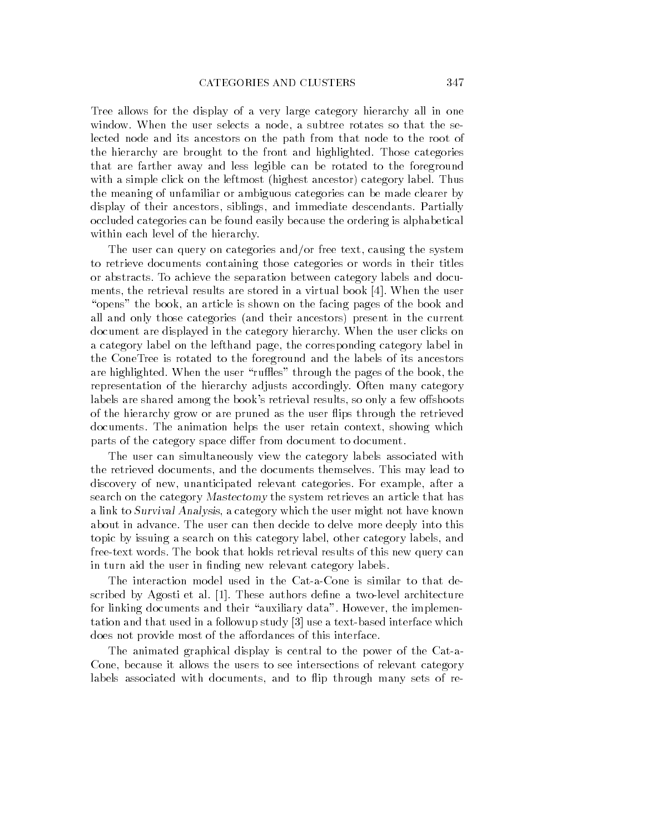Tree allows for the display of a very large category hierarchy all in one window. When the user selects a node, a subtree rotates so that the selected node and its ancestors on the path from that node to the root of the hierarchy are brought to the front and highlighted. Those categories that are farther away and less legible can be rotated to the foreground with a simple click on the leftmost (highest ancestor) category label. Thus the meaning of unfamiliar or ambiguous categories can be made clearer by display of their ancestors, siblings, and immediate descendants. Partially occluded categories can be found easily because the ordering is alphabetical within each level of the hierarchy.

The user can query on categories and/or free text, causing the system to retrieve documents containing those categories or words in their titles or abstracts. To achieve the separation between category labels and documents, the retrieval results are stored in a virtual book [4]. When the user "opens" the book, an article is shown on the facing pages of the book and all and only those categories (and their ancestors) present in the current document are displayed in the category hierarchy. When the user clicks on a category label on the lefthand page, the corresponding category label in the ConeTree is rotated to the foreground and the labels of its ancestors are highlighted. When the user "ruffles" through the pages of the book, the representation of the hierarchy adjusts accordingly. Often many category labels are shared among the book's retrieval results, so only a few offshoots of the hierarchy grow or are pruned as the user flips through the retrieved documents. The animation helps the user retain context, showing which parts of the category space differ from document to document.

The user can simultaneously view the category labels associated with the retrieved documents, and the documents themselves. This may lead to discovery of new, unanticipated relevant categories. For example, after a search on the category Mastectomy the system retrieves an article that has a link to Survival Analysis, a category which the user might not have known about in advance. The user can then decide to delve more deeply into this topic by issuing a search on this category label, other category labels, and free-text words. The book that holds retrieval results of this new query can in turn aid the user in finding new relevant category labels.

The interaction model used in the Cat-a-Cone is similar to that described by Agosti et al. [1]. These authors define a two-level architecture for linking documents and their "auxiliary data". However, the implementation and that used in a followup study [3] use a text-based interface which does not provide most of the affordances of this interface.

The animated graphical display is central to the power of the Cat-a-Cone, because it allows the users to see intersections of relevant category labels associated with documents, and to flip through many sets of re-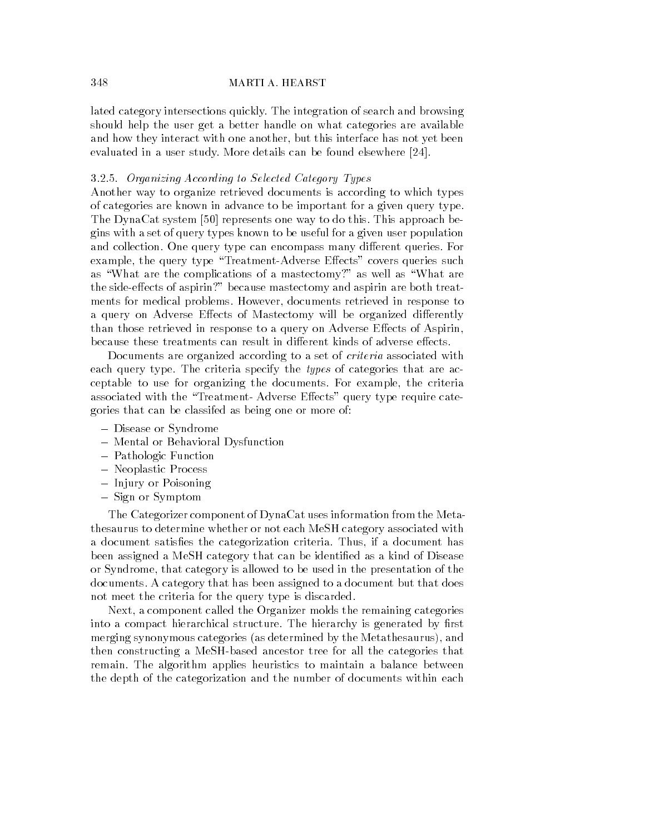lated category intersections quickly. The integration of search and browsing should help the user get a better handle on what categories are available and how they interact with one another, but this interface has not yet been evaluated in a user study. More details can be found elsewhere [24].

## 3.2.5. Organizing According to Selected Category Types

Another way to organize retrieved documents is according to which types of categories are known in advance to be important for a given query type. The DynaCat system [50] represents one way to do this. This approach begins with a set of query types known to be useful for a given user population and collection. One query type can encompass many different queries. For example, the query type "Treatment-Adverse Effects" covers queries such as "What are the complications of a mastectomy?" as well as "What are the side-effects of aspirin?" because mastectomy and aspirin are both treatments for medical problems. However, documents retrieved in response to a query on Adverse Effects of Mastectomy will be organized differently than those retrieved in response to a query on Adverse Effects of Aspirin, because these treatments can result in different kinds of adverse effects.

Documents are organized according to a set of *criteria* associated with each query type. The criteria specify the types of categories that are acceptable to use for organizing the documents. For example, the criteria associated with the "Treatment- Adverse Effects" query type require categories that can be classifed as being one or more of:

- Disease or Syndrome
- mental or Behavioral Dysfunction
- Pathologic Function
- neoplet to the second process of the second process of the second process of the second process of the second
- Injury or Poisoning
- Sign or Symptom or Symptom Symptom of Symptom Symptom Symptom Symptom Symptom Symptom Symptom Symptom Symptom Symptom Symptom Symptom Symptom Symptom Symptom Symptom Symptom Symptom Symptom Symptom Symptom Symptom Symptom

The Categorizer component of DynaCat uses information from the Metathesaurus to determine whether or not each MeSH category associated with a document satisfies the categorization criteria. Thus, if a document has been assigned a MeSH category that can be identied as a kind of Disease or Syndrome, that category is allowed to be used in the presentation of the documents. A category that has been assigned to a document but that does not meet the criteria for the query type is discarded.

Next, a component called the Organizer molds the remaining categories into a compact hierarchical structure. The hierarchy is generated by first merging synonymous categories (as determined by the Metathesaurus), and then constructing a MeSH-based ancestor tree for all the categories that remain. The algorithm applies heuristics to maintain a balance between the depth of the categorization and the number of documents within each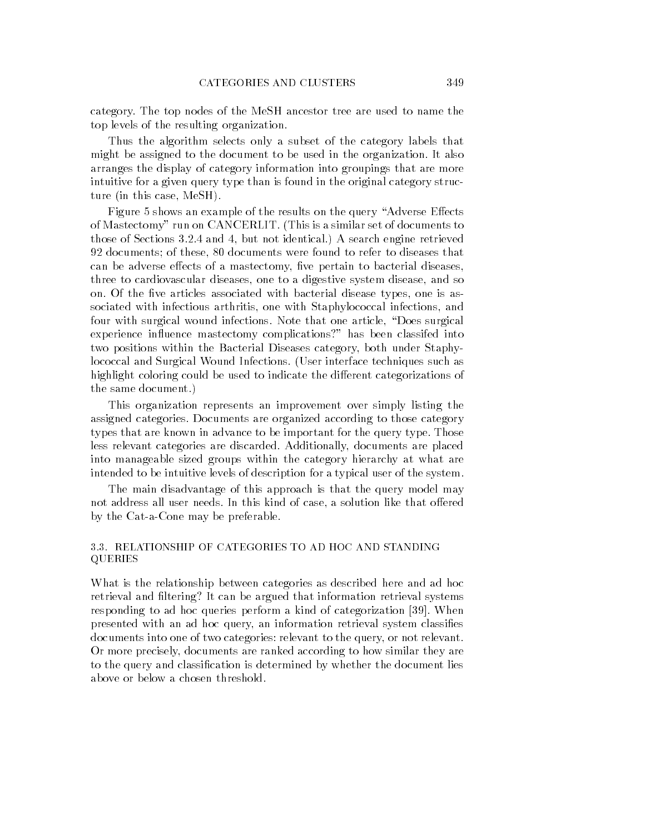category. The top nodes of the MeSH ancestor tree are used to name the top levels of the resulting organization.

Thus the algorithm selects only a subset of the category labels that might be assigned to the document to be used in the organization. It also arranges the display of category information into groupings that are more intuitive for a given query type than is found in the original category structure (in this case, MeSH).

Figure 5 shows an example of the results on the query "Adverse Effects" of Mastectomy" run on CANCERLIT. (This is a similar set of documents to those of Sections 3.2.4 and 4, but not identical.) A search engine retrieved 92 documents; of these, 80 documents were found to refer to diseases that can be adverse effects of a mastectomy, five pertain to bacterial diseases. three to cardiovascular diseases, one to a digestive system disease, and so on. Of the five articles associated with bacterial disease types, one is associated with infectious arthritis, one with Staphylococcal infections, and four with surgical wound infections. Note that one article, "Does surgical experience influence mastectomy complications?" has been classifed into two positions within the Bacterial Diseases category, both under Staphylococcal and Surgical Wound Infections. (User interface techniques such as highlight coloring could be used to indicate the different categorizations of the same document.)

This organization represents an improvement over simply listing the assigned categories. Documents are organized according to those category types that are known in advance to be important for the query type. Those less relevant categories are discarded. Additionally, documents are placed into manageable sized groups within the category hierarchy at what are intended to be intuitive levels of description for a typical user of the system.

The main disadvantage of this approach is that the query model may not address all user needs. In this kind of case, a solution like that offered by the Cat-a-Cone may be preferable.

## 3.3. RELATIONSHIP OF CATEGORIES TO AD HOC AND STANDING QUERIES

What is the relationship between categories as described here and ad hoc retrieval and filtering? It can be argued that information retrieval systems responding to ad hoc queries perform a kind of categorization [39]. When presented with an ad hoc query, an information retrieval system classies documents into one of two categories: relevant to the query, or not relevant. Or more precisely, documents are ranked according to how similar they are to the query and classication is determined by whether the document lies above or below a chosen threshold.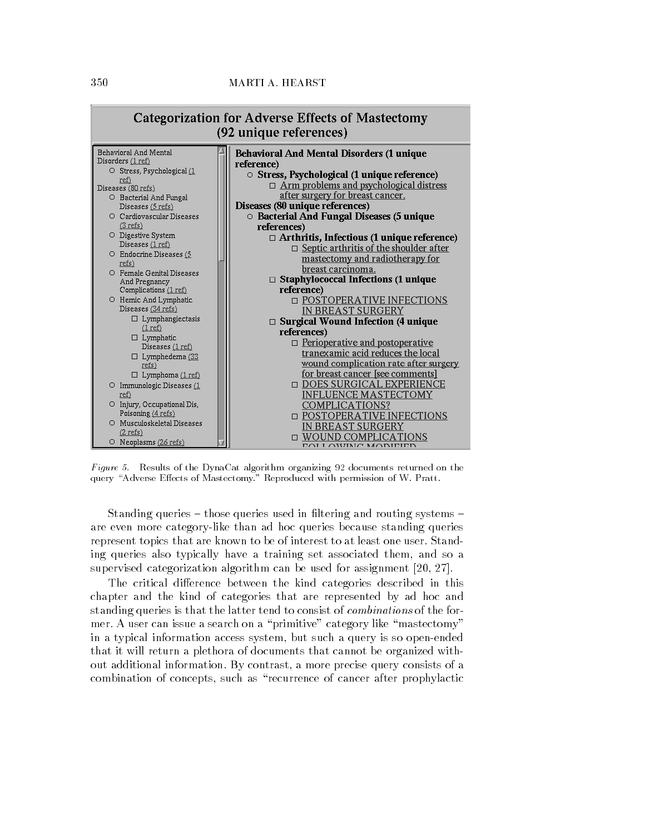

Figure 5. Results of the DynaCat algorithm organizing 92 documents returned on the query "Adverse Effects of Mastectomy." Reproduced with permission of W. Pratt.

Standing queries  $-$  those queries used in filtering and routing systems  $$ are even more category-like than ad hoc queries because standing queries represent topics that are known to be of interest to at least one user. Standing queries also typically have a training set associated them, and so a supervised categorization algorithm can be used for assignment [20, 27].

The critical difference between the kind categories described in this chapter and the kind of categories that are represented by ad hoc and standing queries is that the latter tend to consist of *combinations* of the former. A user can issue a search on a "primitive" category like "mastectomy" in a typical information access system, but such a query is so open-ended that it will return a plethora of documents that cannot be organized without additional information. By contrast, a more precise query consists of a combination of concepts, such as \recurrence of cancer after prophylactic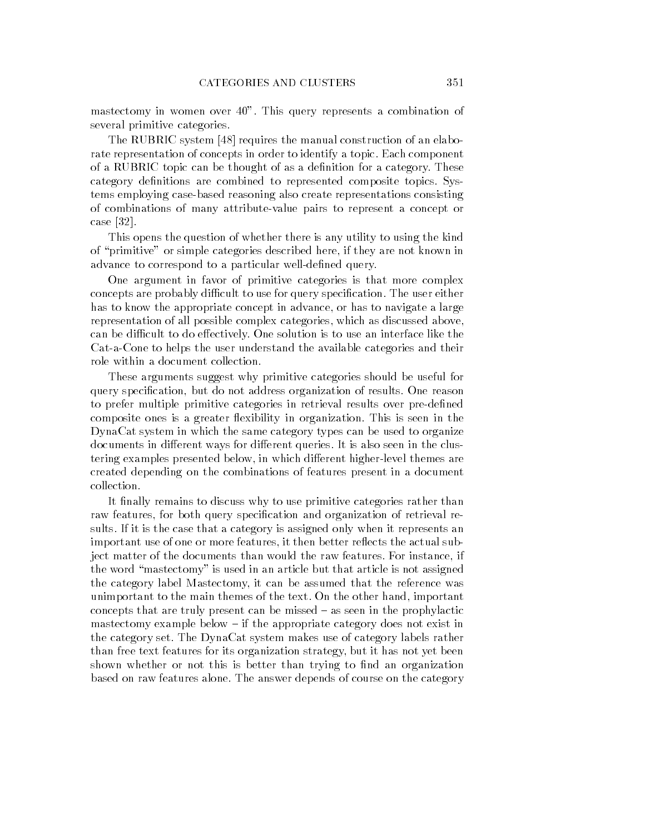mastectomy in women over 40". This query represents a combination of several primitive categories.

The RUBRIC system [48] requires the manual construction of an elaborate representation of concepts in order to identify a topic. Each component of a RUBRIC topic can be thought of as a definition for a category. These category definitions are combined to represented composite topics. Systems employing case-based reasoning also create representations consisting of combinations of many attribute-value pairs to represent a concept or case [32].

This opens the question of whether there is any utility to using the kind of \primitive" or simple categories described here, if they are not known in advance to correspond to a particular well-defined query.

One argument in favor of primitive categories is that more complex concepts are probably difficult to use for query specification. The user either has to know the appropriate concept in advance, or has to navigate a large representation of all possible complex categories, which as discussed above, can be difficult to do effectively. One solution is to use an interface like the Cat-a-Cone to helps the user understand the available categories and their role within a document collection.

These arguments suggest why primitive categories should be useful for query specification, but do not address organization of results. One reason to prefer multiple primitive categories in retrieval results over pre-defined composite ones is a greater flexibility in organization. This is seen in the DynaCat system in which the same category types can be used to organize documents in different ways for different queries. It is also seen in the clustering examples presented below, in which different higher-level themes are created depending on the combinations of features present in a document collection.

It finally remains to discuss why to use primitive categories rather than raw features, for both query specification and organization of retrieval results. If it is the case that a category is assigned only when it represents an important use of one or more features, it then better reflects the actual subject matter of the documents than would the raw features. For instance, if the word \mastectomy" is used in an article but that article is not assigned the category label Mastectomy, it can be assumed that the reference was unimportant to the main themes of the text. On the other hand, important concepts that are truly present can be missed  $-$  as seen in the prophylactic mastectomy example below  $-$  if the appropriate category does not exist in the category set. The DynaCat system makes use of category labels rather than free text features for its organization strategy, but it has not yet been shown whether or not this is better than trying to find an organization based on raw features alone. The answer depends of course on the category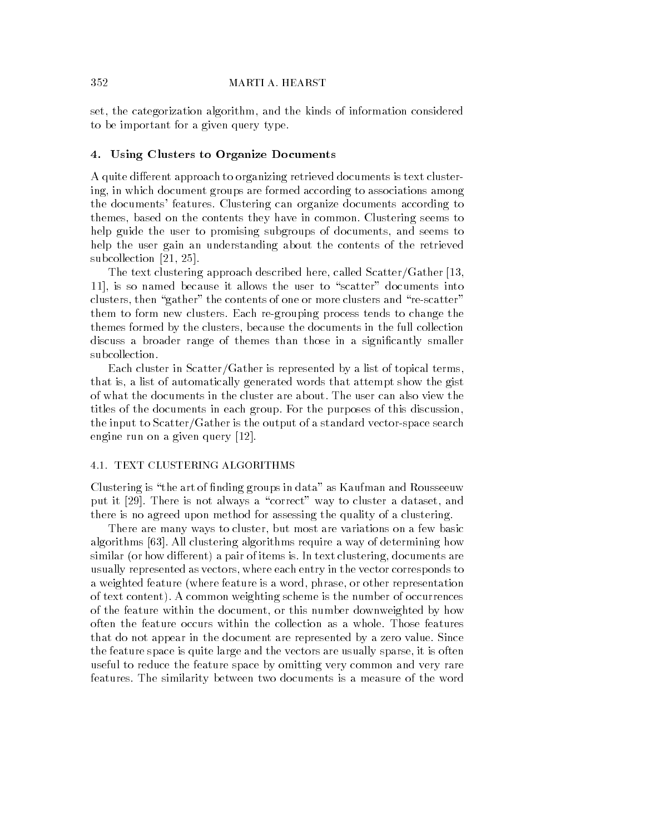set, the categorization algorithm, and the kinds of information considered to be important for a given query type.

## 4. Using Clusters to Organize Documents

A quite different approach to organizing retrieved documents is text clustering, in which document groups are formed according to associations among the documents' features. Clustering can organize documents according to themes, based on the contents they have in common. Clustering seems to help guide the user to promising subgroups of documents, and seems to help the user gain an understanding about the contents of the retrieved subcollection [21, 25].

The text clustering approach described here, called Scatter/Gather [13,  $11$ , is so named because it allows the user to "scatter" documents into clusters, then "gather" the contents of one or more clusters and "re-scatter" them to form new clusters. Each re-grouping process tends to change the themes formed by the clusters, because the documents in the full collection discuss a broader range of themes than those in a signicantly smaller subcollection.

Each cluster in Scatter/Gather is represented by a list of topical terms, that is, a list of automatically generated words that attempt show the gist of what the documents in the cluster are about. The user can also view the titles of the documents in each group. For the purposes of this discussion, the input to Scatter/Gather is the output of a standard vector-space search engine run on a given query [12].

## 4.1. TEXT CLUSTERING ALGORITHMS

Clustering is \the art of nding groups in data" as Kaufman and Rousseeuw put it [29]. There is not always a "correct" way to cluster a dataset, and there is no agreed upon method for assessing the quality of a clustering.

There are many ways to cluster, but most are variations on a few basic algorithms [63]. All clustering algorithms require a way of determining how similar (or how different) a pair of items is. In text clustering, documents are usually represented as vectors, where each entry in the vector corresponds to a weighted feature (where feature is a word, phrase, or other representation of text content). A common weighting scheme is the number of occurrences of the feature within the document, or this number downweighted by how often the feature occurs within the collection as a whole. Those features that do not appear in the document are represented by a zero value. Since the feature space is quite large and the vectors are usually sparse, it is often useful to reduce the feature space by omitting very common and very rare features. The similarity between two documents is a measure of the word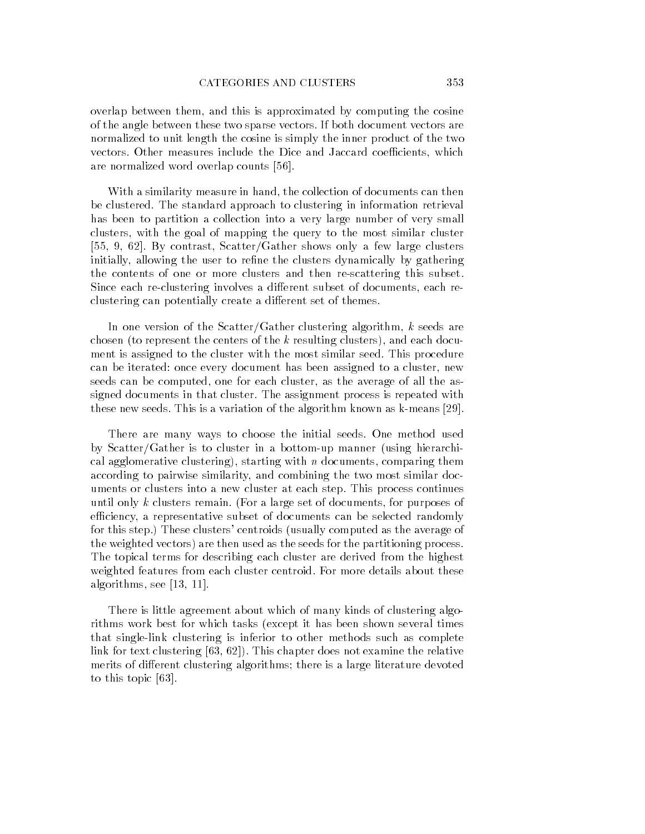overlap between them, and this is approximated by computing the cosine of the angle between these two sparse vectors. If both document vectors are normalized to unit length the cosine is simply the inner product of the two vectors. Other measures include the Dice and Jaccard coefficients, which are normalized word overlap counts [56].

With a similarity measure in hand, the collection of documents can then be clustered. The standard approach to clustering in information retrieval has been to partition a collection into a very large number of very small clusters, with the goal of mapping the query to the most similar cluster [55, 9, 62]. By contrast, Scatter/Gather shows only a few large clusters initially, allowing the user to refine the clusters dynamically by gathering the contents of one or more clusters and then re-scattering this subset. Since each re-clustering involves a different subset of documents, each reclustering can potentially create a different set of themes.

In one version of the Scatter/Gather clustering algorithm, k seeds are chosen (to represent the centers of the  $k$  resulting clusters), and each document is assigned to the cluster with the most similar seed. This procedure can be iterated: once every document has been assigned to a cluster, new seeds can be computed, one for each cluster, as the average of all the assigned documents in that cluster. The assignment process is repeated with these new seeds. This is a variation of the algorithm known as k-means [29].

There are many ways to choose the initial seeds. One method used by Scatter/Gather is to cluster in a bottom-up manner (using hierarchical agglomerative clustering), starting with  $n$  documents, comparing them according to pairwise similarity, and combining the two most similar documents or clusters into a new cluster at each step. This process continues until only k clusters remain. (For a large set of documents, for purposes of efficiency, a representative subset of documents can be selected randomly for this step.) These clusters' centroids (usually computed as the average of the weighted vectors) are then used as the seeds for the partitioning process. The topical terms for describing each cluster are derived from the highest weighted features from each cluster centroid. For more details about these algorithms, see [13, 11].

There is little agreement about which of many kinds of clustering algorithms work best for which tasks (except it has been shown several times that single-link clustering is inferior to other methods such as complete link for text clustering [63, 62]). This chapter does not examine the relative merits of different clustering algorithms; there is a large literature devoted to this topic [63].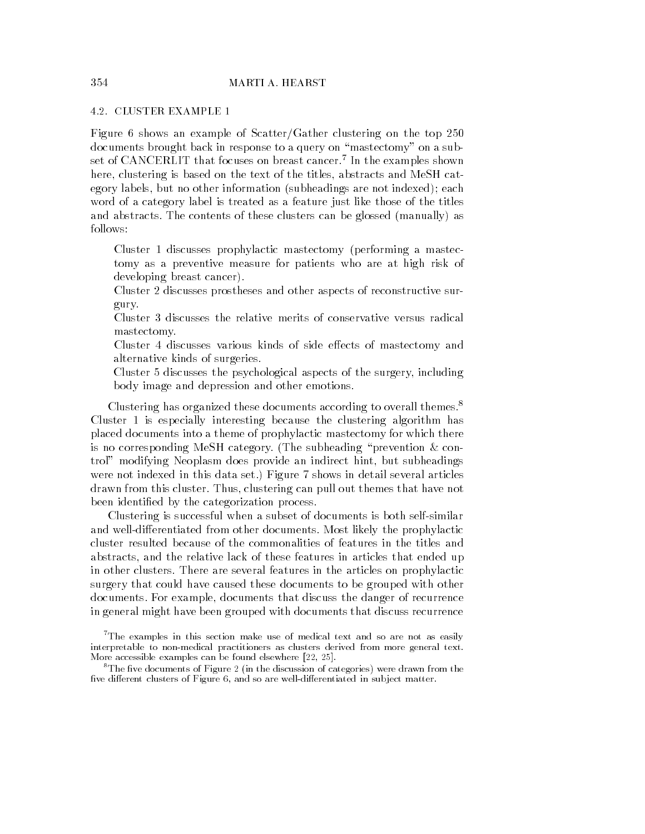## 4.2. CLUSTER EXAMPLE 1

Figure 6 shows an example of Scatter/Gather clustering on the top 250 documents brought back in response to a query on \mastectomy" on a subset of UANUERLIT that focuses on preast cancer. Th the examples shown here, clustering is based on the text of the titles, abstracts and MeSH category labels, but no other information (subheadings are not indexed); each word of a category label is treated as a feature just like those of the titles and abstracts. The contents of these clusters can be glossed (manually) as follows:

Cluster 1 discusses prophylactic mastectomy (performing a mastectomy as a preventive measure for patients who are at high risk of developing breast cancer).

Cluster 2 discusses prostheses and other aspects of reconstructive surgury.

Cluster 3 discusses the relative merits of conservative versus radical mastectomy.

Cluster 4 discusses various kinds of side effects of mastectomy and alternative kinds of surgeries.

Cluster 5 discusses the psychological aspects of the surgery, including body image and depression and other emotions.

Clustering has organized these documents according to overall themes.8 Cluster 1 is especially interesting because the clustering algorithm has placed documents into a theme of prophylactic mastectomy for which there is no corresponding MeSH category. (The subheading "prevention  $\&$  control" modifying Neoplasm does provide an indirect hint, but subheadings were not indexed in this data set.) Figure 7 shows in detail several articles drawn from this cluster. Thus, clustering can pull out themes that have not been identified by the categorization process.

Clustering is successful when a subset of documents is both self-similar and well-differentiated from other documents. Most likely the prophylactic cluster resulted because of the commonalities of features in the titles and abstracts, and the relative lack of these features in articles that ended up in other clusters. There are several features in the articles on prophylactic surgery that could have caused these documents to be grouped with other documents. For example, documents that discuss the danger of recurrence in general might have been grouped with documents that discuss recurrence

<sup>&</sup>lt;sup>7</sup>The examples in this section make use of medical text and so are not as easily interpretable to non-medical practitioners as clusters derived from more general text. More accessible examples can be found elsewhere [22, 25].

 ${}^{8}$ The five documents of Figure 2 (in the discussion of categories) were drawn from the five different clusters of Figure 6, and so are well-differentiated in subject matter.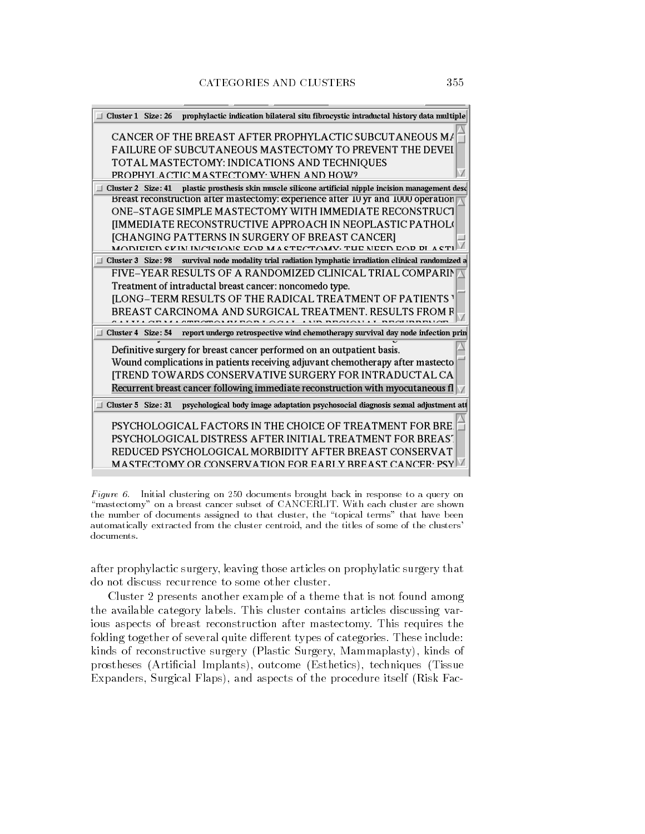| Cluster 1 Size: 26<br>prophylactic indication bilateral situ fibrocystic intraductal history data multiple      |
|-----------------------------------------------------------------------------------------------------------------|
| CANCER OF THE BREAST AFTER PROPHYLACTIC SUBCUTANEOUS MA                                                         |
| <b>FAILURE OF SUBCUTANEOUS MASTECTOMY TO PREVENT THE DEVEI</b>                                                  |
|                                                                                                                 |
| TOTAL MASTECTOMY: INDICATIONS AND TECHNIQUES                                                                    |
| PROPHYL A CTIC MASTECTOMY WHEN AND HOW?                                                                         |
| plastic prosthesis skin muscle silicone artificial nipple incision management desc<br>$\Box$ Cluster 2 Size: 41 |
| Breast reconstruction after mastectomy: experience after 10 yr and 1000 operation                               |
| ONE-STAGE SIMPLE MASTECTOMY WITH IMMEDIATE RECONSTRUCT                                                          |
| <b>JIMMEDIATE RECONSTRUCTIVE APPROACH IN NEOPLASTIC PATHOLO</b>                                                 |
| [CHANGING PATTERNS IN SURGERY OF BREAST CANCER]                                                                 |
| MODIEIED CVIM IMCICIONS EOD MA STECTOMV. THE MEED EOD DI A STI                                                  |
| survival node modality trial radiation lymphatic irradiation clinical randomized a<br>$\Box$ Cluster 3 Size: 98 |
| FIVE-YEAR RESULTS OF A RANDOMIZED CLINICAL TRIAL COMPARIN                                                       |
| Treatment of intraductal breast cancer: noncomedo type.                                                         |
| [LONG-TERM RESULTS OF THE RADICAL TREATMENT OF PATIENTS ]                                                       |
| BREAST CARCINOMA AND SURGICAL TREATMENT. RESULTS FROM R                                                         |
| report undergo retrospective wind chemotherapy survival day node infection prin<br>$\Box$ Cluster 4 Size: 54    |
| Definitive surgery for breast cancer performed on an outpatient basis.                                          |
| Wound complications in patients receiving adjuvant chemotherapy after mastecto                                  |
| [TREND TOWARDS CONSERVATIVE SURGERY FOR INTRADUCTAL CA                                                          |
| Recurrent breast cancer following immediate reconstruction with myocutaneous fl                                 |
| $\Box$ Cluster 5 Size: 31<br>psychological body image adaptation psychosocial diagnosis sexual adjustment at    |
| PSYCHOLOGICAL FACTORS IN THE CHOICE OF TREATMENT FOR BRE.                                                       |
| PSYCHOLOGICAL DISTRESS AFTER INITIAL TREATMENT FOR BREAS'                                                       |
| REDUCED PSYCHOLOGICAL MORBIDITY AFTER BREAST CONSERVAT                                                          |
| MASTECTOMY OR CONSERVATION FOR FARLY BREAST CANCER: PSY                                                         |
|                                                                                                                 |

Figure 6. Initial clustering on 250 documents brought back in response to a query on "mastectomy" on a breast cancer subset of CANCERLIT. With each cluster are shown the number of documents assigned to that cluster, the "topical terms" that have been automatically extracted from the cluster centroid, and the titles of some of the clusters' documents.

after prophylactic surgery, leaving those articles on prophylatic surgery that do not discuss recurrence to some other cluster.

Cluster 2 presents another example of a theme that is not found among the available category labels. This cluster contains articles discussing various aspects of breast reconstruction after mastectomy. This requires the folding together of several quite different types of categories. These include: kinds of reconstructive surgery (Plastic Surgery, Mammaplasty), kinds of prostheses (Articial Implants), outcome (Esthetics), techniques (Tissue Expanders, Surgical Flaps), and aspects of the procedure itself (Risk Fac-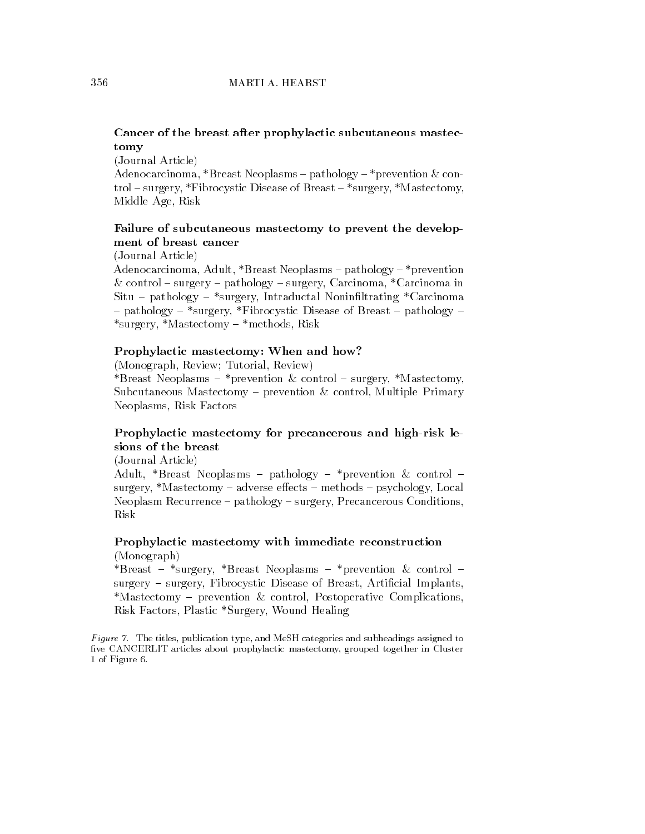# Cancer of the breast after prophylactic subcutaneous mastectomy

(Journal Article)

Adenocarcinoma, \*Breast Neoplasms - pathology - \*prevention & control  $=$  surgery, \*Fibrocystic Disease of Breast  $=$  \*surgery, \*Mastectomy, Middle Age, Risk

# Failure of subcutaneous mastectomy to prevent the development of breast cancer

(Journal Article)

Adenocarcinoma, Adult, \*Breast Neoplasms  $-$  pathology  $-$  \*prevention & control  $-$  surgery  $-$  pathology  $-$  surgery, Carcinoma, \*Carcinoma in  $Situ - pathology - *surgery, Intraductal Noninfiltrating *Carcinoma$  $=$  pathology  $=$  \*surgery, \*Fibrocystic Disease of Breast  $=$  pathology  $=$ \*surgery, \*Mastectomy  $-$  \*methods, Risk

## Prophylactic mastectomy: When and how?

(Monograph, Review; Tutorial, Review)

\*Breast Neoplasms  $-$  \*prevention & control  $-$  surgery, \*Mastectomy, Subcutaneous Mastectomy – prevention  $\&$  control, Multiple Primary Neoplasms, Risk Factors

## Prophylactic mastectomy for precancerous and high-risk lesions of the breast

(Journal Article) Adult, \*Breast Neoplasms - pathology - \*prevention & control surgery, \*Mastectomy  $-$  adverse effects  $-$  methods  $-$  psychology, Local Neoplasm Recurrence  $-$  pathology  $-$  surgery, Precancerous Conditions, Risk

## Prophylactic mastectomy with immediate reconstruction (Monograph)

\*Breast  $-$  \*surgery, \*Breast Neoplasms  $-$  \*prevention & control  $$  $surgery - surgery$ , Fibrocystic Disease of Breast, Artificial Implants, \*Mastectomy – prevention  $&$  control, Postoperative Complications, Risk Factors, Plastic \*Surgery, Wound Healing

Figure 7. The titles, publication type, and MeSH categories and subheadings assigned to five CANCERLIT articles about prophylactic mastectomy, grouped together in Cluster 1 of Figure 6.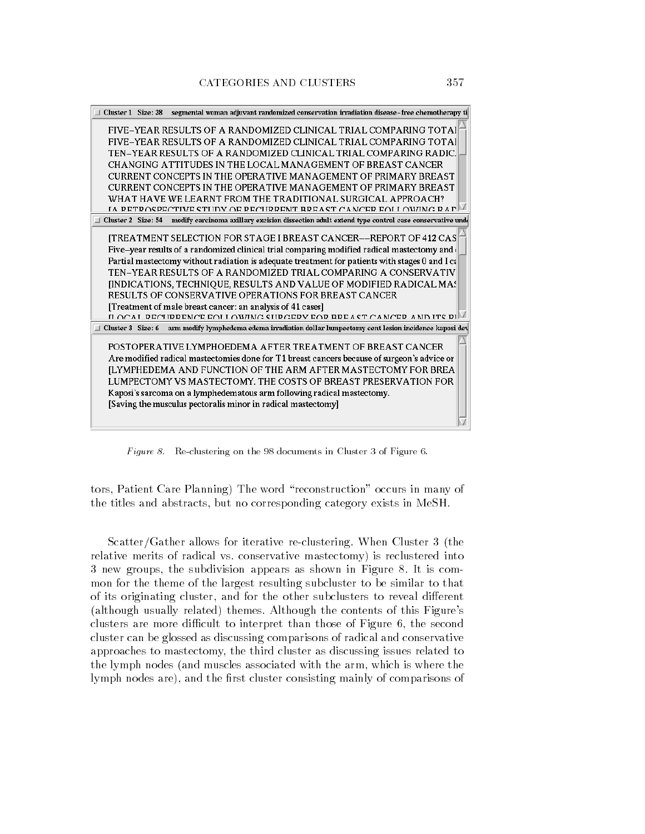| segmental woman adjuvant randomized conservation irradiation disease-free chemotherapy ti<br>Cluster 1 Size: 38      |  |  |  |
|----------------------------------------------------------------------------------------------------------------------|--|--|--|
| FIVE-YEAR RESULTS OF A RANDOMIZED CLINICAL TRIAL COMPARING TOTA!                                                     |  |  |  |
| FIVE-YEAR RESULTS OF A RANDOMIZED CLINICAL TRIAL COMPARING TOTA!                                                     |  |  |  |
| TEN-YEAR RESULTS OF A RANDOMIZED CLINICAL TRIAL COMPARING RADIC.                                                     |  |  |  |
| CHANGING ATTITUDES IN THE LOCAL MANAGEMENT OF BREAST CANCER                                                          |  |  |  |
|                                                                                                                      |  |  |  |
| CURRENT CONCEPTS IN THE OPERATIVE MANAGEMENT OF PRIMARY BREAST                                                       |  |  |  |
| CURRENT CONCEPTS IN THE OPERATIVE MANAGEMENT OF PRIMARY BREAST                                                       |  |  |  |
| WHAT HAVE WE LEARNT FROM THE TRADITIONAL SURGICAL APPROACH?                                                          |  |  |  |
| IA BETROSPECTIVE STHINY OF BECHBBENT BBEAST CANCER EOLI OWING BAD                                                    |  |  |  |
| Cluster 2 Size: 54<br>modify carcinoma axillary excision dissection adult extend type control case conservative unde |  |  |  |
| [TREATMENT SELECTION FOR STAGE I BREAST CANCER--REPORT OF 412 CAS                                                    |  |  |  |
| Five-year results of a randomized clinical trial comparing modified radical mastectomy and                           |  |  |  |
| Partial mastectomy without radiation is adequate treatment for patients with stages 0 and I ca                       |  |  |  |
| TEN–YEAR RESULTS OF A RANDOMIZED TRIAL COMPARING A CONSERVATIV                                                       |  |  |  |
| [INDICATIONS, TECHNIQUE, RESULTS AND VALUE OF MODIFIED RADICAL MAS                                                   |  |  |  |
| RESULTS OF CONSERVATIVE OPERATIONS FOR BREAST CANCER                                                                 |  |  |  |
| [Treatment of male breast cancer: an analysis of 41 cases]                                                           |  |  |  |
| ILOCAL BECUBBENCE EOLI OWING SUBGEBY EOR BREAST CANCER AND ITS BILL                                                  |  |  |  |
| Cluster 3 Size: 6 arm modify lymphedema edema irradiation dollar lumpectomy cent lesion incidence kaposi dev         |  |  |  |
|                                                                                                                      |  |  |  |
| POSTOPERATIVE LYMPHOEDEMA AFTER TREATMENT OF BREAST CANCER                                                           |  |  |  |
| Are modified radical mastectomies done for T1 breast cancers because of surgeon's advice or                          |  |  |  |
| [LYMPHEDEMA AND FUNCTION OF THE ARM AFTER MASTECTOMY FOR BREA                                                        |  |  |  |
| LUMPECTOMY VS MASTECTOMY. THE COSTS OF BREAST PRESERVATION FOR                                                       |  |  |  |
| Kaposi's sarcoma on a lymphedematous arm following radical mastectomy.                                               |  |  |  |
| [Saving the musculus pectoralis minor in radical mastectomy]                                                         |  |  |  |
|                                                                                                                      |  |  |  |
|                                                                                                                      |  |  |  |

Figure 8. Re-clustering on the 98 documents in Cluster 3 of Figure 6.

tors, Patient Care Planning) The word \reconstruction" occurs in many of the titles and abstracts, but no corresponding category exists in MeSH.

Scatter/Gather allows for iterative re-clustering. When Cluster 3 (the relative merits of radical vs. conservative mastectomy) is reclustered into 3 new groups, the subdivision appears as shown in Figure 8. It is common for the theme of the largest resulting subcluster to be similar to that of its originating cluster, and for the other subclusters to reveal different (although usually related) themes. Although the contents of this Figure's clusters are more difficult to interpret than those of Figure  $6$ , the second cluster can be glossed as discussing comparisons of radical and conservative approaches to mastectomy, the third cluster as discussing issues related to the lymph nodes (and muscles associated with the arm, which is where the lymph nodes are), and the first cluster consisting mainly of comparisons of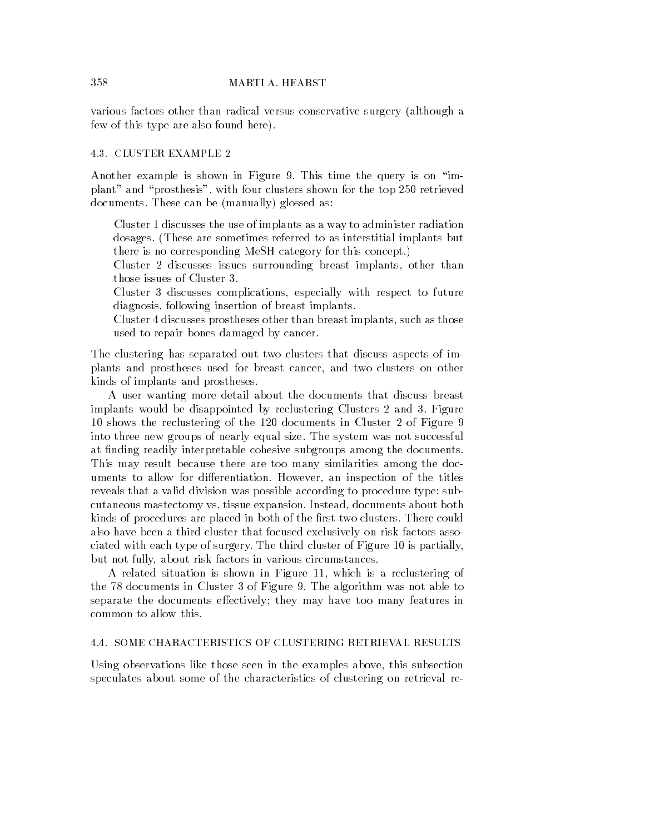various factors other than radical versus conservative surgery (although a few of this type are also found here).

### 4.3. CLUSTER EXAMPLE 2

Another example is shown in Figure 9. This time the query is on "implant" and "prosthesis", with four clusters shown for the top 250 retrieved documents. These can be (manually) glossed as:

Cluster 1 discusses the use of implants as a way to administer radiation dosages. (These are sometimes referred to as interstitial implants but there is no corresponding MeSH category for this concept.)

Cluster 2 discusses issues surrounding breast implants, other than those issues of Cluster 3.

Cluster 3 discusses complications, especially with respect to future diagnosis, following insertion of breast implants.

Cluster 4 discusses prostheses other than breast implants, such as those used to repair bones damaged by cancer.

The clustering has separated out two clusters that discuss aspects of implants and prostheses used for breast cancer, and two clusters on other kinds of implants and prostheses.

A user wanting more detail about the documents that discuss breast implants would be disappointed by reclustering Clusters 2 and 3. Figure 10 shows the reclustering of the 120 documents in Cluster 2 of Figure 9 into three new groups of nearly equal size. The system was not successful at finding readily interpretable cohesive subgroups among the documents. This may result because there are too many similarities among the documents to allow for differentiation. However, an inspection of the titles reveals that a valid division was possible according to procedure type: subcutaneous mastectomy vs. tissue expansion. Instead, documents about both kinds of procedures are placed in both of the first two clusters. There could also have been a third cluster that focused exclusively on risk factors associated with each type of surgery. The third cluster of Figure 10 is partially, but not fully, about risk factors in various circumstances.

A related situation is shown in Figure 11, which is a reclustering of the 78 documents in Cluster 3 of Figure 9. The algorithm was not able to separate the documents effectively; they may have too many features in common to allow this.

## 4.4. SOME CHARACTERISTICS OF CLUSTERING RETRIEVAL RESULTS

Using observations like those seen in the examples above, this subsection speculates about some of the characteristics of clustering on retrieval re-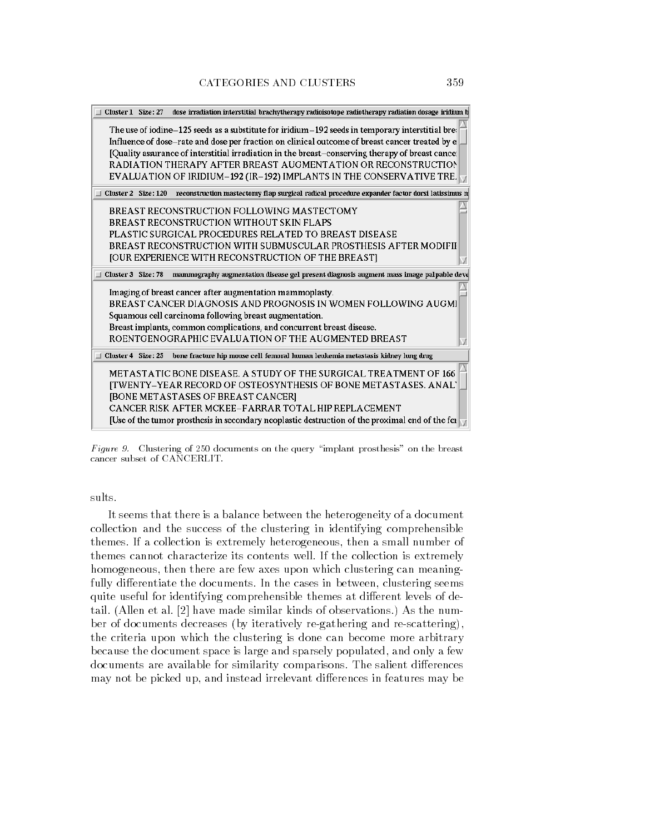| Cluster 1 Size: 27<br>dose irradiation interstitial brachytherapy radioisotope radiotherapy radiation dosage iridium h                                                                                                                                                                                                                                                                                                                         |  |
|------------------------------------------------------------------------------------------------------------------------------------------------------------------------------------------------------------------------------------------------------------------------------------------------------------------------------------------------------------------------------------------------------------------------------------------------|--|
| The use of iodine-125 seeds as a substitute for iridium-192 seeds in temporary interstitial brea<br>Influence of dose-rate and dose per fraction on clinical outcome of breast cancer treated by e<br>[Quality assurance of interstitial irradiation in the breast-conserving therapy of breast cance<br>RADIATION THERAPY AFTER BREAST AUGMENTATION OR RECONSTRUCTION<br>EVALUATION OF IRIDIUM-192 (IR-192) IMPLANTS IN THE CONSERVATIVE TRE. |  |
| reconstruction mastectomy flap surgical radical procedure expander factor dorsi latissimus n<br>Cluster 2 Size: 120                                                                                                                                                                                                                                                                                                                            |  |
| BREAST RECONSTRUCTION FOLLOWING MASTECTOMY<br>BREAST RECONSTRUCTION WITHOUT SKIN FLAPS<br>PLASTIC SURGICAL PROCEDURES RELATED TO BREAST DISEASE<br>BREAST RECONSTRUCTION WITH SUBMUSCULAR PROSTHESIS AFTER MODIFII<br><b>JOUR EXPERIENCE WITH RECONSTRUCTION OF THE BREAST]</b>                                                                                                                                                                |  |
| mammography augmentation disease gel present diagnosis augment mass image palpable deve<br>Cluster 3 Size: 78                                                                                                                                                                                                                                                                                                                                  |  |
| Imaging of breast cancer after augmentation mammoplasty.<br>BREAST CANCER DIAGNOSIS AND PROGNOSIS IN WOMEN FOLLOWING AUGMI<br>Squamous cell carcinoma following breast augmentation.<br>Breast implants, common complications, and concurrent breast disease.<br>ROENTGENOGRAPHIC EVALUATION OF THE AUGMENTED BREAST                                                                                                                           |  |
| bone fracture hip mouse cell femoral human leukemia metastasis kidney lung drug<br>Cluster 4 Size: 25                                                                                                                                                                                                                                                                                                                                          |  |
| METASTATIC BONE DISEASE. A STUDY OF THE SURGICAL TREATMENT OF 166<br>[TWENTY-YEAR RECORD OF OSTEOSYNTHESIS OF BONE METASTASES. ANAL'<br>[BONE METASTASES OF BREAST CANCER]<br>CANCER RISK AFTER MCKEE-FARRAR TOTAL HIP REPLACEMENT                                                                                                                                                                                                             |  |

Figure 9. Clustering of 250 documents on the query "implant prosthesis" on the breast cancer subset of CANCERLIT.

sults.

It seems that there is a balance between the heterogeneity of a document collection and the success of the clustering in identifying comprehensible themes. If a collection is extremely heterogeneous, then a small number of themes cannot characterize its contents well. If the collection is extremely homogeneous, then there are few axes upon which clustering can meaningfully differentiate the documents. In the cases in between, clustering seems quite useful for identifying comprehensible themes at different levels of detail. (Allen et al. [2] have made similar kinds of observations.) As the number of documents decreases (by iteratively re-gathering and re-scattering), the criteria upon which the clustering is done can become more arbitrary because the document space is large and sparsely populated, and only a few documents are available for similarity comparisons. The salient differences may not be picked up, and instead irrelevant differences in features may be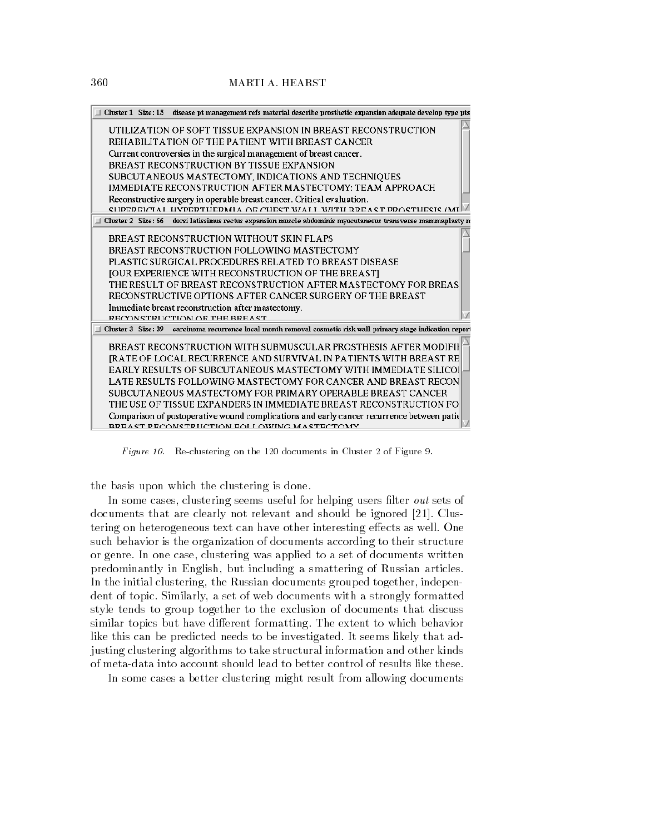| $\Box$ Cluster 1 Size: 15<br>disease pt management refs material describe prosthetic expansion adequate develop type pts                                                                                                                                      |
|---------------------------------------------------------------------------------------------------------------------------------------------------------------------------------------------------------------------------------------------------------------|
| UTILIZATION OF SOFT TISSUE EXPANSION IN BREAST RECONSTRUCTION                                                                                                                                                                                                 |
| REHABILITATION OF THE PATIENT WITH BREAST CANCER                                                                                                                                                                                                              |
|                                                                                                                                                                                                                                                               |
| Current controversies in the surgical management of breast cancer.<br>BREAST RECONSTRUCTION BY TISSUE EXPANSION                                                                                                                                               |
|                                                                                                                                                                                                                                                               |
| SUBCUTANEOUS MASTECTOMY, INDICATIONS AND TECHNIQUES                                                                                                                                                                                                           |
| IMMEDIATE RECONSTRUCTION AFTER MASTECTOMY: TEAM APPROACH                                                                                                                                                                                                      |
| Reconstructive surgery in operable breast cancer. Critical evaluation.                                                                                                                                                                                        |
| $\alpha$ (interfection of the property of the contract $\alpha$ and $\alpha$ is the contract of the contract of $\alpha$ is the contract of the contract of $\alpha$ is the contract of $\alpha$ is the contract of $\alpha$ is the contract of $\alpha$ is t |
| dorsi latissimus rectus expansion muscle abdominis myocutaneous transverse mammaplasty m<br>$\Box$ Cluster 2 Size: 66                                                                                                                                         |
| BREAST RECONSTRUCTION WITHOUT SKIN FLAPS                                                                                                                                                                                                                      |
| BREAST RECONSTRUCTION FOLLOWING MASTECTOMY                                                                                                                                                                                                                    |
| PLASTIC SURGICAL PROCEDURES RELATED TO BREAST DISEASE                                                                                                                                                                                                         |
| [OUR EXPERIENCE WITH RECONSTRUCTION OF THE BREAST]                                                                                                                                                                                                            |
| THE RESULT OF BREAST RECONSTRUCTION AFTER MASTECTOMY FOR BREAS                                                                                                                                                                                                |
| RECONSTRUCTIVE OPTIONS AFTER CANCER SURGERY OF THE BREAST                                                                                                                                                                                                     |
| Immediate breast reconstruction after mastectomy.                                                                                                                                                                                                             |
| RECONSTRUCTION OF THE RREAST                                                                                                                                                                                                                                  |
| carcinoma recurrence local month removal cosmetic risk wall primary stage indication report<br>Cluster 3 Size: 39                                                                                                                                             |
|                                                                                                                                                                                                                                                               |
| BREAST RECONSTRUCTION WITH SUBMUSCULAR PROSTHESIS AFTER MODIFII                                                                                                                                                                                               |
| [RATE OF LOCAL RECURRENCE AND SURVIVAL IN PATIENTS WITH BREAST RE                                                                                                                                                                                             |
| EARLY RESULTS OF SUBCUTANEOUS MASTECTOMY WITH IMMEDIATE SILICOI                                                                                                                                                                                               |
| LATE RESULTS FOLLOWING MASTECTOMY FOR CANCER AND BREAST RECON                                                                                                                                                                                                 |
| SUBCUTANEOUS MASTECTOMY FOR PRIMARY OPERABLE BREAST CANCER                                                                                                                                                                                                    |
| THE USE OF TISSUE EXPANDERS IN IMMEDIATE BREAST RECONSTRUCTION FO                                                                                                                                                                                             |
| Comparison of postoperative wound complications and early cancer recurrence between pation                                                                                                                                                                    |
| RREAST RECONSTRUCTION EQUI QWING MASTECTOMY                                                                                                                                                                                                                   |

Figure 10. Re-clustering on the 120 documents in Cluster 2 of Figure 9.

the basis upon which the clustering is done.

In some cases, clustering seems useful for helping users filter *out* sets of documents that are clearly not relevant and should be ignored [21]. Clustering on heterogeneous text can have other interesting effects as well. One such behavior is the organization of documents according to their structure or genre. In one case, clustering was applied to a set of documents written predominantly in English, but including a smattering of Russian articles. In the initial clustering, the Russian documents grouped together, independent of topic. Similarly, a set of web documents with a strongly formatted style tends to group together to the exclusion of documents that discuss similar topics but have different formatting. The extent to which behavior like this can be predicted needs to be investigated. It seems likely that adjusting clustering algorithms to take structural information and other kinds of meta-data into account should lead to better control of results like these.

In some cases a better clustering might result from allowing documents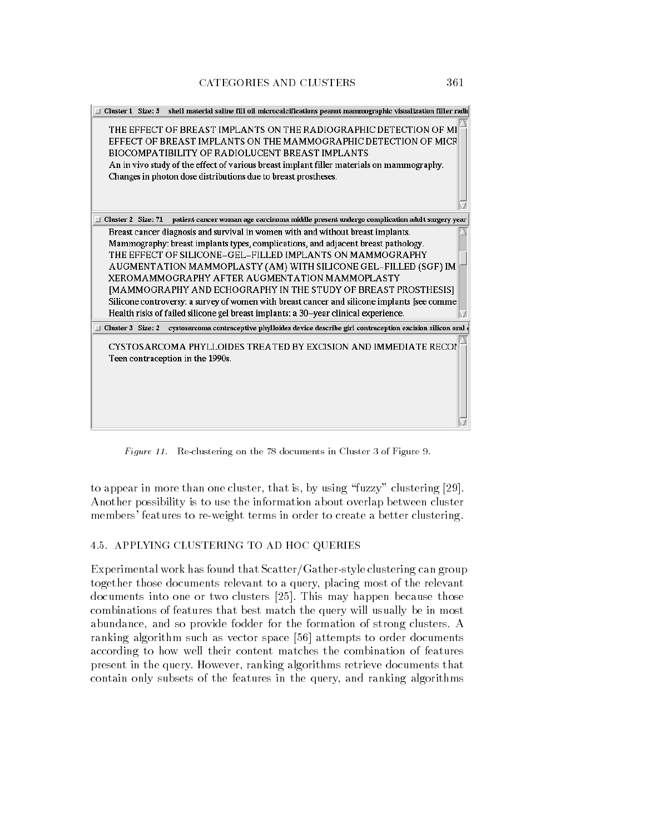| Cluster 1 Size: 5                | shell material saline fill oil microcalcifications peanut mammographic visualization filler radio                                                                                                                                                                                                                                                      |
|----------------------------------|--------------------------------------------------------------------------------------------------------------------------------------------------------------------------------------------------------------------------------------------------------------------------------------------------------------------------------------------------------|
|                                  | THE EFFECT OF BREAST IMPLANTS ON THE RADIOGRAPHIC DETECTION OF MI<br>EFFECT OF BREAST IMPLANTS ON THE MAMMOGRAPHIC DETECTION OF MICR<br>BIOCOMPATIBILITY OF RADIOLUCENT BREAST IMPLANTS<br>An in vivo study of the effect of various breast implant filler materials on mammography.<br>Changes in photon dose distributions due to breast prostheses. |
| Cluster 2 Size: 71               | patient cancer woman age carcinoma middle present undergo complication adult surgery year                                                                                                                                                                                                                                                              |
|                                  | Breast cancer diagnosis and survival in women with and without breast implants.                                                                                                                                                                                                                                                                        |
|                                  | Mammography: breast implants types, complications, and adjacent breast pathology.                                                                                                                                                                                                                                                                      |
|                                  | THE EFFECT OF SILICONE–GEL–FILLED IMPLANTS ON MAMMOGRAPHY                                                                                                                                                                                                                                                                                              |
|                                  | AUGMENTATION MAMMOPLASTY (AM) WITH SILICONE GEL–FILLED (SGF) IM                                                                                                                                                                                                                                                                                        |
|                                  | XEROMAMMOGRAPHY AFTER AUGMENTATION MAMMOPLASTY                                                                                                                                                                                                                                                                                                         |
|                                  | [MAMMOGRAPHY AND ECHOGRAPHY IN THE STUDY OF BREAST PROSTHESIS]                                                                                                                                                                                                                                                                                         |
|                                  | Silicone controversy: a survey of women with breast cancer and silicone implants [see comme                                                                                                                                                                                                                                                            |
|                                  | Health risks of failed silicone gel breast implants: a 30-year clinical experience.                                                                                                                                                                                                                                                                    |
| Cluster 3 Size: 2                | cystosarcoma contraceptive phylloides device describe girl contraception excision silicon oral                                                                                                                                                                                                                                                         |
| Teen contraception in the 1990s. | CYSTOSARCOMA PHYLLOIDES TREATED BY EXCISION AND IMMEDIATE RECO!                                                                                                                                                                                                                                                                                        |

Figure 11. Re-clustering on the 78 documents in Cluster 3 of Figure 9.

to appear in more than one cluster, that is, by using \fuzzy" clustering [29]. Another possibility is to use the information about overlap between cluster members' features to re-weight terms in order to create a better clustering.

## 4.5. APPLYING CLUSTERING TO AD HOC QUERIES

Experimental work has found that Scatter/Gather-style clustering can group together those documents relevant to a query, placing most of the relevant documents into one or two clusters [25]. This may happen because those combinations of features that best match the query will usually be in most abundance, and so provide fodder for the formation of strong clusters. A ranking algorithm such as vector space [56] attempts to order documents according to how well their content matches the combination of features present in the query. However, ranking algorithms retrieve documents that contain only subsets of the features in the query, and ranking algorithms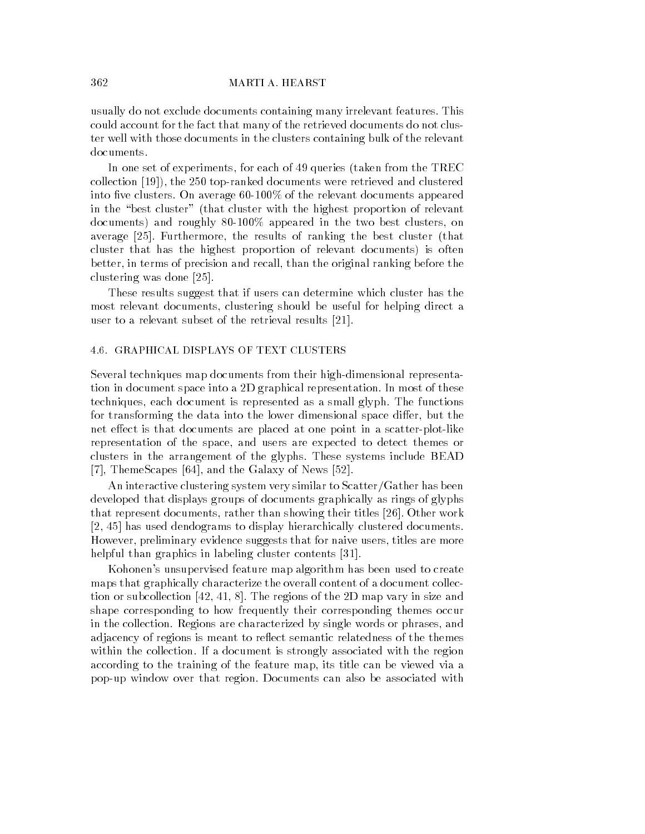usually do not exclude documents containing many irrelevant features. This could account for the fact that many of the retrieved documents do not cluster well with those documents in the clusters containing bulk of the relevant documents.

In one set of experiments, for each of 49 queries (taken from the TREC collection [19]), the 250 top-ranked documents were retrieved and clustered into five clusters. On average 60-100% of the relevant documents appeared in the "best cluster" (that cluster with the highest proportion of relevant documents) and roughly 80-100% appeared in the two best clusters, on average [25]. Furthermore, the results of ranking the best cluster (that cluster that has the highest proportion of relevant documents) is often better, in terms of precision and recall, than the original ranking before the clustering was done [25].

These results suggest that if users can determine which cluster has the most relevant documents, clustering should be useful for helping direct a user to a relevant subset of the retrieval results [21].

### **4.6. GRAPHICAL DISPLAYS OF TEXT CLUSTERS**

Several techniques map documents from their high-dimensional representation in document space into a 2D graphical representation. In most of these techniques, each document is represented as a small glyph. The functions for transforming the data into the lower dimensional space differ, but the net effect is that documents are placed at one point in a scatter-plot-like representation of the space, and users are expected to detect themes or clusters in the arrangement of the glyphs. These systems include BEAD [7], ThemeScapes [64], and the Galaxy of News [52].

An interactive clustering system very similar to Scatter/Gather has been developed that displays groups of documents graphically as rings of glyphs that represent documents, rather than showing their titles [26]. Other work [2, 45] has used dendograms to display hierarchically clustered documents. However, preliminary evidence suggests that for naive users, titles are more helpful than graphics in labeling cluster contents [31].

Kohonen's unsupervised feature map algorithm has been used to create maps that graphically characterize the overall content of a document collection or subcollection [42, 41, 8]. The regions of the 2D map vary in size and shape corresponding to how frequently their corresponding themes occur in the collection. Regions are characterized by single words or phrases, and adjacency of regions is meant to reflect semantic relatedness of the themes within the collection. If a document is strongly associated with the region according to the training of the feature map, its title can be viewed via a pop-up window over that region. Documents can also be associated with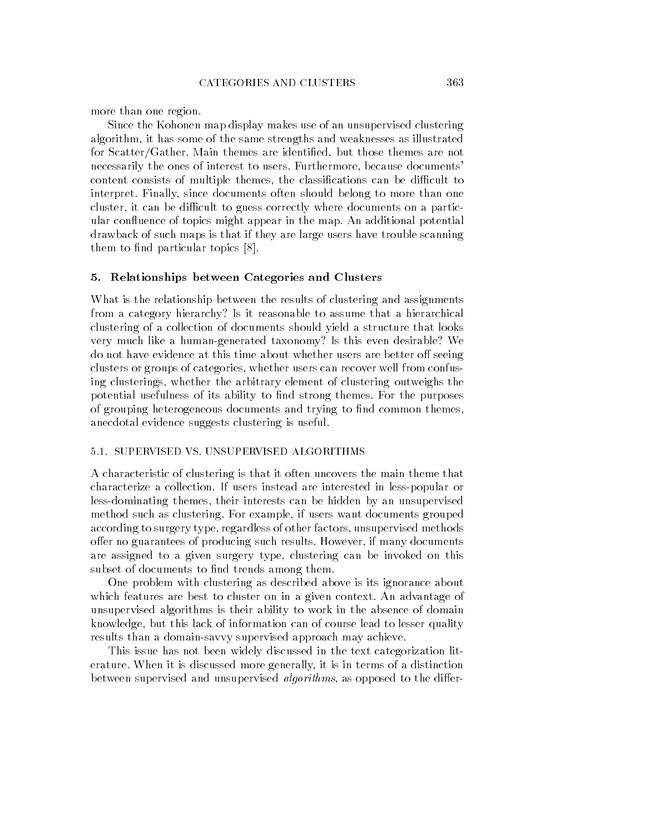more than one region.

Since the Kohonen map display makes use of an unsupervised clustering algorithm, it has some of the same strengths and weaknesses as illustrated for Scatter/Gather. Main themes are identified, but those themes are not necessarily the ones of interest to users. Furthermore, because documents' content consists of multiple themes, the classifications can be difficult to interpret. Finally, since documents often should belong to more than one cluster, it can be difficult to guess correctly where documents on a particular confluence of topics might appear in the map. An additional potential drawback of such maps is that if they are large users have trouble scanning them to find particular topics  $[8]$ .

### 5. Relationships between Categories and Clusters

What is the relationship between the results of clustering and assignments from a category hierarchy? Is it reasonable to assume that a hierarchical clustering of a collection of documents should yield a structure that looks very much like a human-generated taxonomy? Is this even desirable? We do not have evidence at this time about whether users are better off seeing clusters or groups of categories, whether users can recover well from confusing clusterings, whether the arbitrary element of clustering outweighs the potential usefulness of its ability to find strong themes. For the purposes of grouping heterogeneous documents and trying to find common themes, anecdotal evidence suggests clustering is useful.

## 5.1. SUPERVISED VS. UNSUPERVISED ALGORITHMS

A characteristic of clustering is that it often uncovers the main theme that characterize a collection. If users instead are interested in less-popular or less-dominating themes, their interests can be hidden by an unsupervised method such as clustering. For example, if users want documents grouped according to surgery type, regardless of other factors, unsupervised methods offer no guarantees of producing such results. However, if many documents are assigned to a given surgery type, clustering can be invoked on this subset of documents to find trends among them.

One problem with clustering as described above is its ignorance about which features are best to cluster on in a given context. An advantage of unsupervised algorithms is their ability to work in the absence of domain knowledge, but this lack of information can of course lead to lesser quality results than a domain-savvy supervised approach may achieve.

This issue has not been widely discussed in the text categorization literature. When it is discussed more generally, it is in terms of a distinction between supervised and unsupervised *algorithms*, as opposed to the differ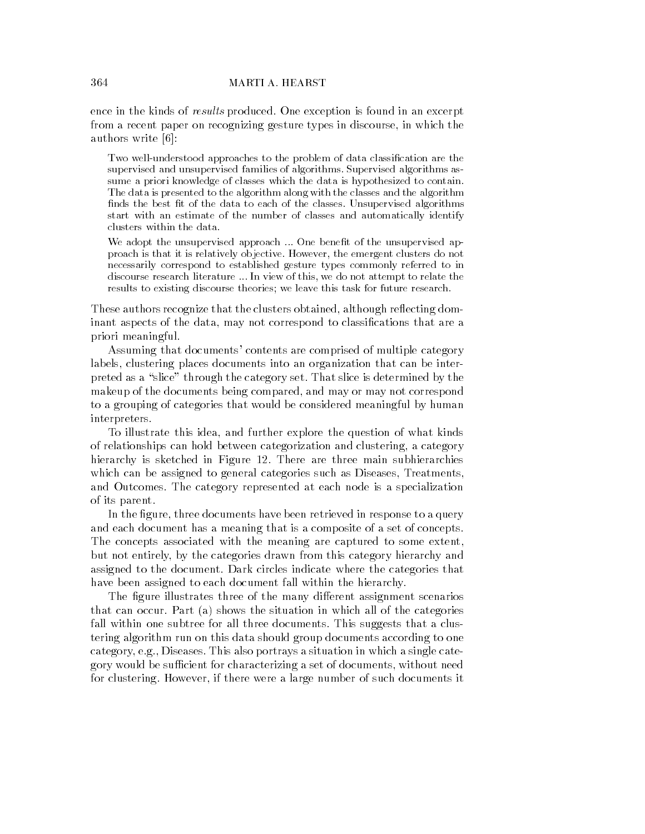ence in the kinds of *results* produced. One exception is found in an excerpt from a recent paper on recognizing gesture types in discourse, in which the authors write [6]:

Two well-understood approaches to the problem of data classification are the supervised and unsupervised families of algorithms. Supervised algorithms assume a priori knowledge of classes which the data is hypothesized to contain. The data is presented to the algorithm along with the classes and the algorithm finds the best fit of the data to each of the classes. Unsupervised algorithms start with an estimate of the number of classes and automatically identify clusters within the data.

We adopt the unsupervised approach ... One benefit of the unsupervised approach is that it is relatively objective. However, the emergent clusters do not necessarily correspond to established gesture types commonly referred to in discourse research literature ... In view of this, we do not attempt to relate the results to existing discourse theories; we leave this task for future research.

These authors recognize that the clusters obtained, although reflecting dominant aspects of the data, may not correspond to classications that are a priori meaningful.

Assuming that documents' contents are comprised of multiple category labels, clustering places documents into an organization that can be interpreted as a "slice" through the category set. That slice is determined by the makeup of the documents being compared, and may or may not correspond to a grouping of categories that would be considered meaningful by human interpreters.

To illustrate this idea, and further explore the question of what kinds of relationships can hold between categorization and clustering, a category hierarchy is sketched in Figure 12. There are three main subhierarchies which can be assigned to general categories such as Diseases, Treatments, and Outcomes. The category represented at each node is a specialization of its parent.

In the figure, three documents have been retrieved in response to a query and each document has a meaning that is a composite of a set of concepts. The concepts associated with the meaning are captured to some extent, but not entirely, by the categories drawn from this category hierarchy and assigned to the document. Dark circles indicate where the categories that have been assigned to each document fall within the hierarchy.

The figure illustrates three of the many different assignment scenarios that can occur. Part (a) shows the situation in which all of the categories fall within one subtree for all three documents. This suggests that a clustering algorithm run on this data should group documents according to one category, e.g., Diseases. This also portrays a situation in which a single category would be sufficient for characterizing a set of documents, without need for clustering. However, if there were a large number of such documents it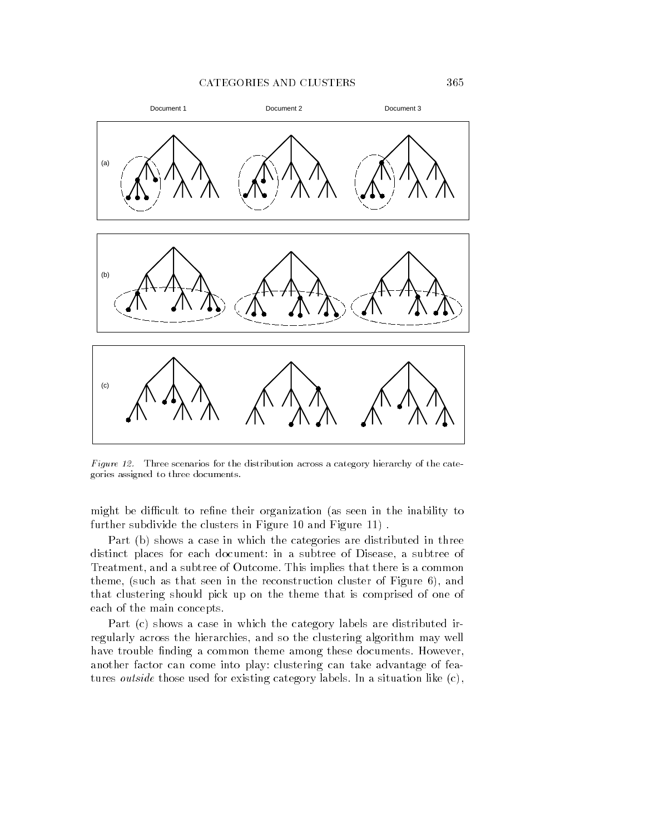

Figure 12. Three scenarios for the distribution across a category hierarchy of the categories assigned to three documents.

might be difficult to refine their organization (as seen in the inability to further subdivide the clusters in Figure 10 and Figure 11) .

Part (b) shows a case in which the categories are distributed in three distinct places for each document: in a subtree of Disease, a subtree of Treatment, and a subtree of Outcome. This implies that there is a common theme, (such as that seen in the reconstruction cluster of Figure 6), and that clustering should pick up on the theme that is comprised of one of each of the main concepts.

Part (c) shows a case in which the category labels are distributed irregularly across the hierarchies, and so the clustering algorithm may well have trouble finding a common theme among these documents. However, another factor can come into play: clustering can take advantage of features outside those used for existing category labels. In a situation like (c),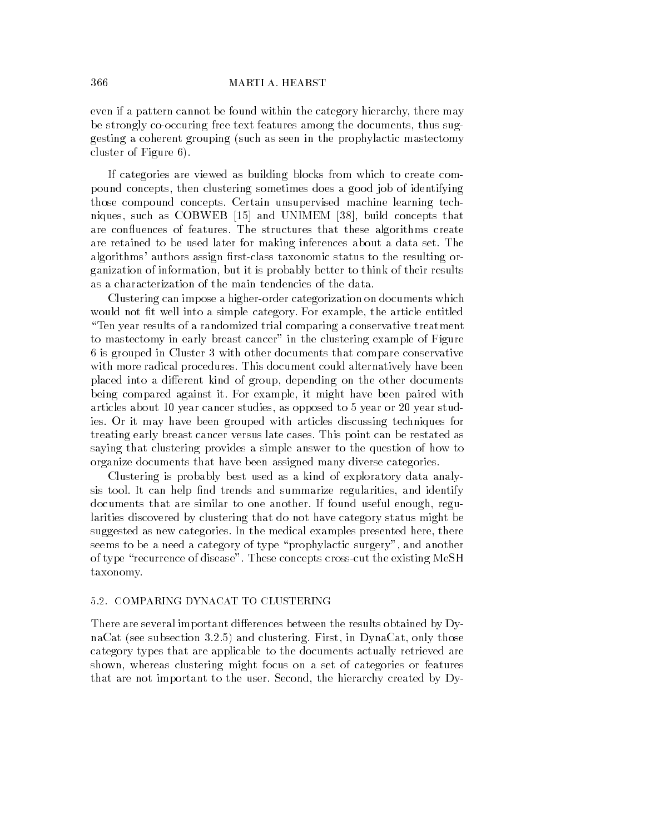even if a pattern cannot be found within the category hierarchy, there may be strongly co-occuring free text features among the documents, thus suggesting a coherent grouping (such as seen in the prophylactic mastectomy cluster of Figure 6).

If categories are viewed as building blocks from which to create compound concepts, then clustering sometimes does a good job of identifying those compound concepts. Certain unsupervised machine learning techniques, such as COBWEB [15] and UNIMEM [38], build concepts that are confluences of features. The structures that these algorithms create are retained to be used later for making inferences about a data set. The algorithms' authors assign first-class taxonomic status to the resulting organization of information, but it is probably better to think of their results as a characterization of the main tendencies of the data.

Clustering can impose a higher-order categorization on documents which would not fit well into a simple category. For example, the article entitled \Ten year results of a randomized trial comparing a conservative treatment to mastectomy in early breast cancer" in the clustering example of Figure 6 is grouped in Cluster 3 with other documents that compare conservative with more radical procedures. This document could alternatively have been placed into a different kind of group, depending on the other documents being compared against it. For example, it might have been paired with articles about 10 year cancer studies, as opposed to 5 year or 20 year studies. Or it may have been grouped with articles discussing techniques for treating early breast cancer versus late cases. This point can be restated as saying that clustering provides a simple answer to the question of how to organize documents that have been assigned many diverse categories.

Clustering is probably best used as a kind of exploratory data analysis tool. It can help find trends and summarize regularities, and identify documents that are similar to one another. If found useful enough, regularities discovered by clustering that do not have category status might be suggested as new categories. In the medical examples presented here, there seems to be a need a category of type "prophylactic surgery", and another of type "recurrence of disease". These concepts cross-cut the existing MeSH taxonomy.

### 5.2. COMPARING DYNACAT TO CLUSTERING

There are several important differences between the results obtained by DynaCat (see subsection 3.2.5) and clustering. First, in DynaCat, only those category types that are applicable to the documents actually retrieved are shown, whereas clustering might focus on a set of categories or features that are not important to the user. Second, the hierarchy created by Dy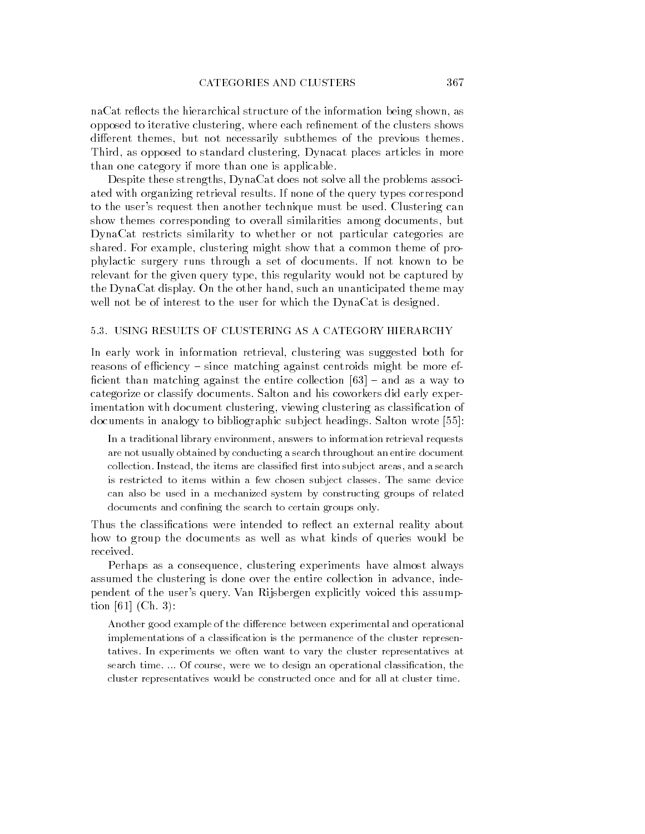naCat reflects the hierarchical structure of the information being shown, as opposed to iterative clustering, where each refinement of the clusters shows different themes, but not necessarily subthemes of the previous themes. Third, as opposed to standard clustering, Dynacat places articles in more than one category if more than one is applicable.

Despite these strengths, DynaCat does not solve all the problems associated with organizing retrieval results. If none of the query types correspond to the user's request then another technique must be used. Clustering can show themes corresponding to overall similarities among documents, but DynaCat restricts similarity to whether or not particular categories are shared. For example, clustering might show that a common theme of prophylactic surgery runs through a set of documents. If not known to be relevant for the given query type, this regularity would not be captured by the DynaCat display. On the other hand, such an unanticipated theme may well not be of interest to the user for which the DynaCat is designed.

## 5.3. USING RESULTS OF CLUSTERING AS A CATEGORY HIERARCHY

In early work in information retrieval, clustering was suggested both for reasons of efficiency  $-$  since matching against centroids might be more efficient than matching against the entire collection  $[63]$  - and as a way to categorize or classify documents. Salton and his coworkers did early experimentation with document clustering, viewing clustering as classication of documents in analogy to bibliographic sub ject headings. Salton wrote [55]:

In a traditional library environment, answers to information retrieval requests are not usually obtained by conducting a search throughout an entire document collection. Instead, the items are classified first into subject areas, and a search is restricted to items within a few chosen subject classes. The same device can also be used in a mechanized system by constructing groups of related documents and confining the search to certain groups only.

Thus the classifications were intended to reflect an external reality about how to group the documents as well as what kinds of queries would be received.

Perhaps as a consequence, clustering experiments have almost always assumed the clustering is done over the entire collection in advance, independent of the user's query. Van Rijsbergen explicitly voiced this assumption [61] (Ch. 3):

Another good example of the difference between experimental and operational implementations of a classification is the permanence of the cluster representatives. In experiments we often want to vary the cluster representatives at search time. ... Of course, were we to design an operational classication, the cluster representatives would be constructed once and for all at cluster time.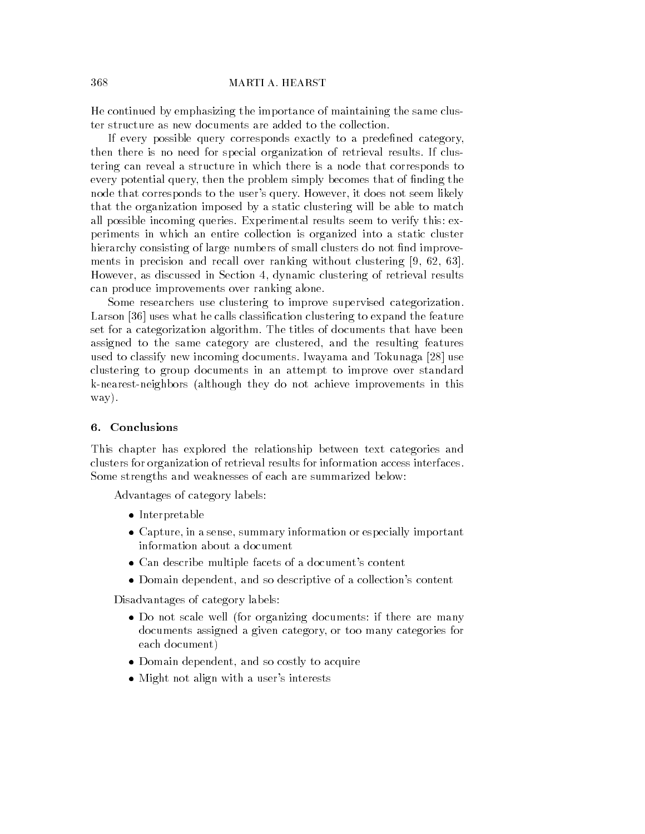He continued by emphasizing the importance of maintaining the same cluster structure as new documents are added to the collection.

If every possible query corresponds exactly to a predefined category, then there is no need for special organization of retrieval results. If clustering can reveal a structure in which there is a node that corresponds to every potential query, then the problem simply becomes that of finding the node that corresponds to the user's query. However, it does not seem likely that the organization imposed by a static clustering will be able to match all possible incoming queries. Experimental results seem to verify this: experiments in which an entire collection is organized into a static cluster hierarchy consisting of large numbers of small clusters do not find improvements in precision and recall over ranking without clustering [9, 62, 63]. However, as discussed in Section 4, dynamic clustering of retrieval results can produce improvements over ranking alone.

Some researchers use clustering to improve supervised categorization. Larson [36] uses what he calls classication clustering to expand the feature set for a categorization algorithm. The titles of documents that have been assigned to the same category are clustered, and the resulting features used to classify new incoming documents. Iwayama and Tokunaga [28] use clustering to group documents in an attempt to improve over standard k-nearest-neighbors (although they do not achieve improvements in this way).

## 6. Conclusions

This chapter has explored the relationship between text categories and clusters for organization of retrieval results for information access interfaces. Some strengths and weaknesses of each are summarized below:

Advantages of category labels:

- Interpretable
- Capture, in a sense, summary information or especially important information about a document
- Can describe multiple facets of a document's content
- Domain dependent, and so descriptive of a collection's content

Disadvantages of category labels:

- Do not scale well (for organizing documents: if there are many documents assigned a given category, or too many categories for each document)
- Domain dependent, and so costly to acquire
- Might not align with a user's interests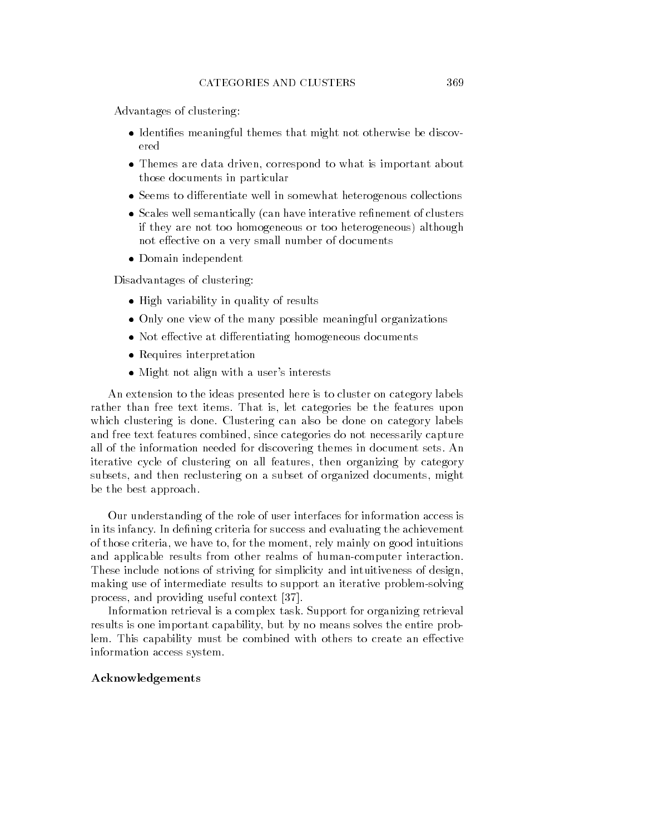Advantages of clustering:

- Identies meaningful themes that might not otherwise be discov-
- Themes are data driven, correspond to what is important about those documents in particular
- Seems to dierentiate well in somewhat heterogenous collections
- Scales well semantically (can have interative renement of clusters if they are not too homogeneous or too heterogeneous) although not effective on a very small number of documents
- Domain independent

Disadvantages of clustering:

- High variability in quality of results
- Only one view of the many possible meaningful organizations
- Not eective at dierentiating homogeneous documents
- Requires interpretation
- Might not align with a user's interests

An extension to the ideas presented here is to cluster on category labels rather than free text items. That is, let categories be the features upon which clustering is done. Clustering can also be done on category labels and free text features combined, since categories do not necessarily capture all of the information needed for discovering themes in document sets. An iterative cycle of clustering on all features, then organizing by category subsets, and then reclustering on a subset of organized documents, might be the best approach.

Our understanding of the role of user interfaces for information access is in its infancy. In defining criteria for success and evaluating the achievement of those criteria, we have to, for the moment, rely mainly on good intuitions and applicable results from other realms of human-computer interaction. These include notions of striving for simplicity and intuitiveness of design, making use of intermediate results to support an iterative problem-solving process, and providing useful context [37].

Information retrieval is a complex task. Support for organizing retrieval results is one important capability, but by no means solves the entire problem. This capability must be combined with others to create an effective information access system.

#### Acknowledgements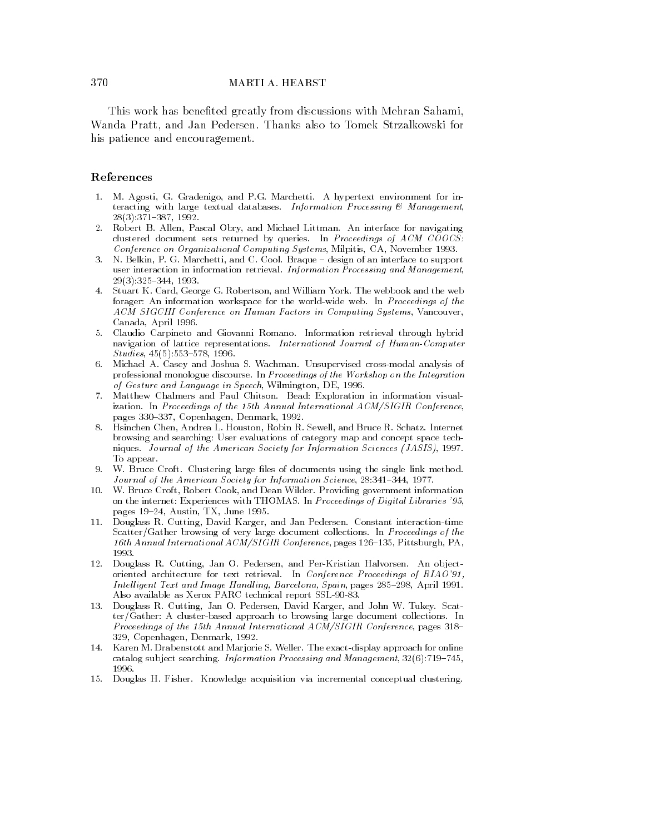This work has beneted greatly from discussions with Mehran Sahami, Wanda Pratt, and Jan Pedersen. Thanks also to Tomek Strzalkowski for his patience and encouragement.

#### References

- 1. M. Agosti, G. Gradenigo, and P.G. Marchetti. A hypertext environment for interacting with large textual databases. Information Processing & Management, 28(3):371{387, 1992.
- 2. Robert B. Allen, Pascal Obry, and Michael Littman. An interface for navigating clustered document sets returned by queries. In Proceedings of ACM COOCS: Conference on Organizational Computing Systems, Milpitis, CA, November 1993.
- 3. N. Belkin, P. G. Marchetti, and C. Cool. Braque design of an interface to support user interaction in information retrieval. Information Processing and Management,  $29(3):325{-}344, 1993.$
- 4. Stuart K. Card, George G. Robertson, and William York. The webbook and the web forager: An information workspace for the world-wide web. In Proceedings of the ACM SIGCHI Conference on Human Factors in Computing Systems, Vancouver, Canada, April 1996.
- 5. Claudio Carpineto and Giovanni Romano. Information retrieval through hybrid navigation of lattice representations. International Journal of Human-Computer  $Studies, 45(5):553–578, 1996.$
- 6. Michael A. Casey and Joshua S. Wachman. Unsupervised cross-modal analysis of professional monologue discourse. In Proceedings of the Workshop on the Integration of Gesture and Language in Speech, Wilmington, DE, 1996.
- 7. Matthew Chalmers and Paul Chitson. Bead: Exploration in information visualization. In Proceedings of the 15th Annual International ACM/SIGIR Conference, pages 330-337, Copenhagen, Denmark, 1992.
- $8<sup>1</sup>$ 8. Hsinchen Chen, Andrea L. Houston, Robin R. Sewell, and Bruce R. Schatz. Internet browsing and searching: User evaluations of category map and concept space techniques. Journal of the American Society for Information Sciences (JASIS), 1997. To appear.
- 9. W. Bruce Croft. Clustering large files of documents using the single link method. Journal of the American Society for Information Science, 28:341-344, 1977.
- 10. W. Bruce Croft, Robert Cook, and Dean Wilder. Providing government information  $10.$ on the internet: Experiences with THOMAS. In Proceedings of Digital Libraries '95, pages 19-24, Austin, TX, June 1995.
- 11. Douglass R. Cutting, David Karger, and Jan Pedersen. Constant interaction-time Scatter/Gather browsing of very large document collections. In Proceedings of the 16th Annual International ACM/SIGIR Conference, pages 126-135, Pittsburgh, PA, 1993.
- 12. Douglass R. Cutting, Jan O. Pedersen, and Per-Kristian Halvorsen. An ob jectoriented architecture for text retrieval. In Conference Proceedings of RIAO'91, Intelligent Text and Image Handling, Barcelona, Spain, pages 285-298, April 1991. Also available as Xerox PARC technical report SSL-90-83.
- 13. Douglass R. Cutting, Jan O. Pedersen, David Karger, and John W. Tukey. Scatter/Gather: A cluster-based approach to browsing large document collections. In Proceedings of the 15th Annual International ACM/SIGIR Conference, pages 318-329, Copenhagen, Denmark, 1992.
- Karen M. Drabenstott and Marjorie S. Weller. The exact-display approach for online catalog subject searching. Information Processing and Management,  $32(6)$ :719-745, 1996.
- 15. Douglas H. Fisher. Knowledge acquisition via incremental conceptual clustering.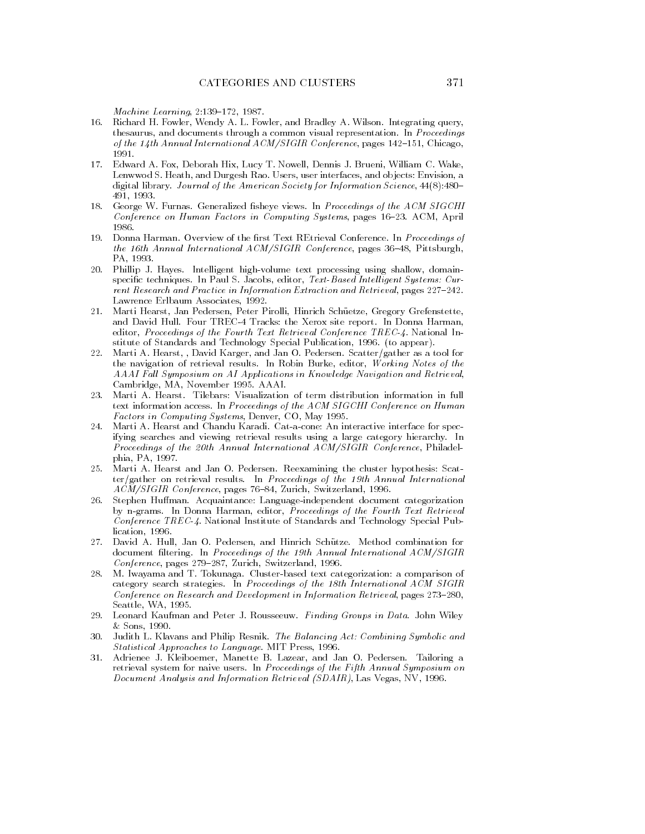$Machine Learning, 2:139–172, 1987.$ 

- 16. Richard H. Fowler, Wendy A. L. Fowler, and Bradley A. Wilson. Integrating query, thesaurus, and documents through a common visual representation. In Proceedings of the 14th Annual International  $ACM/SIGIR$  Conference, pages 142-151, Chicago, 1991
- 17. Edward A. Fox. Deborah Hix. Lucy T. Nowell. Dennis J. Brueni. William C. Wake. 17. Edward A. Fox, Deborah Hix, Lucy T. Nowell, Dennis J. Brueni, William C. Wake, Lenwwod S. Heath, and Durgesh Rao. Users, user interfaces, and objects: Envision, a digital library. Journal of the American Society for Information Science, 44(8):480-491, 1993.
- 18. George W. Furnas. Generalized fisheve views. In Proceedings of the ACM SIGCHI Conference on Human Factors in Computing Systems, pages 16-23. ACM, April 1986
- 19. Donna Harman. Overview of the first Text REtrieval Conference. In Proceedings of the 16th Annual International  $ACM/SIGIR$  Conference, pages 36-48, Pittsburgh, PA. 1993. PA, 1993.
- 20. Phillip J. Hayes. Intelligent high-volume text processing using shallow, domainspecific techniques. In Paul S. Jacobs, editor,  $Text-Based Intelligent Systems: Cur$ rent Research and Practice in Information Extraction and Retrieval, pages 227-242. Lawrence Erlbaum Associates, 1992.
- 21. Marti Hearst, Jan Pedersen, Peter Pirolli, Hinrich Schuetze, Gregory Grefenstette, and David Hull. Four TREC-4 Tracks: the Xerox site report. In Donna Harman, editor, Proceedings of the Fourth Text Retrieval Conference TREC-4. National Institute of Standards and Technology Special Publication, 1996. (to appear).
- 22. Marti A. Hearst, , David Karger, and Jan O. Pedersen. Scatter/gather as a tool for the navigation of retrieval results. In Robin Burke, editor, Working Notes of the AAAI Fall Symposium on AI Applications in Knowledge Navigation and Retrieval, Cambridge, MA, November 1995. AAAI.
- 23. Marti A. Hearst. Tilebars: Visualization of term distribution information in full text information access. In Proceedings of the ACM SIGCHI Conference on Human Factors in Computing Systems, Denver, CO, May 1995.
- 24. Marti A. Hearst and Chandu Karadi. Cat-a-cone: An interactive interface for specifying searches and viewing retrieval results using a large category hierarchy. In Proceedings of the 20th Annual International ACM/SIGIR Conference, Philadelphia, PA, 1997.
- $2.5$ 25. Marti A. Hearst and Jan O. Pedersen. Reexamining the cluster hypothesis: Scatter/gather on retrieval results. In Proceedings of the 19th Annual International ACM/SIGIR Conference, pages 76-84, Zurich, Switzerland, 1996.
- 26. 26. Stephen Human. Acquaintance: Language-independent document categorization by n-grams. In Donna Harman, editor, Proceedings of the Fourth Text Retrieval Conference TREC-4. National Institute of Standards and Technology Special Publication, 1996.
- 27. David A. Hull, Jan O. Pedersen, and Hinrich Schutze. Method combination for document filtering. In Proceedings of the 19th Annual International ACM/SIGIR  $Conference$ , pages 279–287, Zurich, Switzerland, 1996.
- 28. M. Iwayama and T. Tokunaga. Cluster-based text categorization: a comparison of 28 category search strategies. In Proceedings of the 18th International ACM SIGIR Conference on Research and Development in Information Retrieval, pages 273-280, Seattle, WA, 1995.
- 29. Leonard Kaufman and Peter J. Rousseeuw. Finding Groups in Data. John Wiley & Sons. 1990.  $\sim$  Sons, 1990. In the second contract of the second contract of the second contract of the second contract of
- 30 Judith L. Klavans and Philip Resnik. The Balancing Act: Combining Symbolic and Statistical Approaches to Language. MIT Press, 1996.
- $31.$ 31. Adrienee J. Kleiboemer, Manette B. Lazear, and Jan O. Pedersen. Tailoring a retrieval system for naive users. In Proceedings of the Fifth Annual Symposium on Document Analysis and Information Retrieval (SDAIR), Las Vegas, NV, 1996.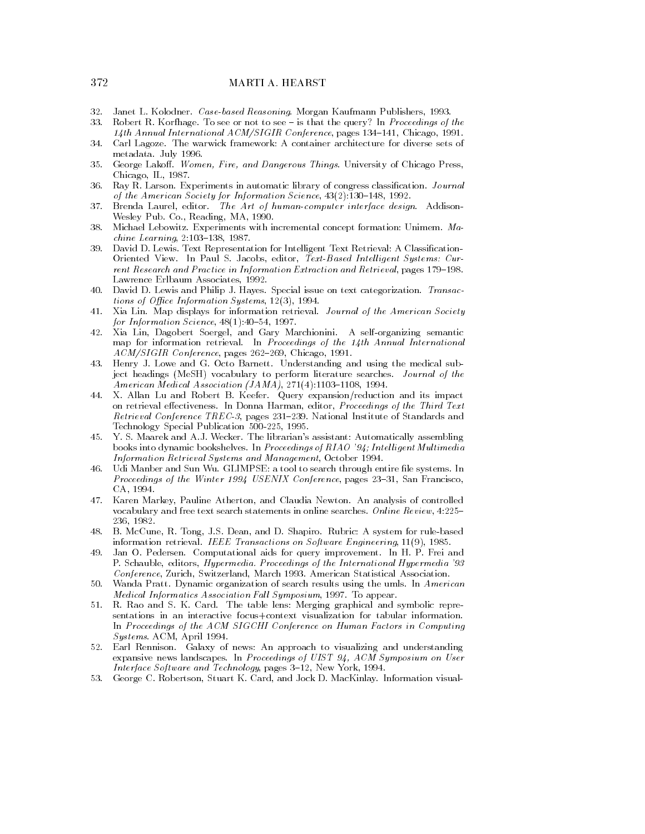- 32. Janet L. Kolodner. Case-based Reasoning. Morgan Kaufmann Publishers, 1993.
- 33 Robert R. Korfhage. To see or not to see  $-$  is that the query? In Proceedings of the  $14th$  Annual International  $ACM/SIGIR$  Conference, pages 134-141, Chicago, 1991.
- 34. Carl Lagoze. The warwick framework: A container architecture for diverse sets of metadata. July 1996.
- George Lakoff. Women, Fire, and Dangerous Things. University of Chicago Press, 35. Chicago, IL, 1987.
- 36. Ray R. Larson. Experiments in automatic library of congress classification. Journal of the American Society for Information Science,  $43(2):130-148$ , 1992.
- 37 Brenda Laurel, editor. The Art of human-computer interface design. Addison-Wesley Pub. Co., Reading, MA, 1990.
- 38. Michael Lebowitz. Experiments with incremental concept formation: Unimem. Machine Learning, 2:103-138, 1987.
- 39. David D. Lewis. Text Representation for Intelligent Text Retrieval: A Classication-Oriented View. In Paul S. Jacobs, editor, Text-Based Intelligent Systems: Current Research and Practice in Information Extraction and Retrieval, pages 179-198. Lawrence Erlbaum Associates, 1992.
- $40.$ David D. Lewis and Philip J. Hayes. Special issue on text categorization. Transactions of Office Information Systems,  $12(3)$ , 1994.
- 41. Xia Lin. Map displays for information retrieval. Journal of the American Society for Information Science,  $48(1)$ :  $40–54$ , 1997.
- 42. Xia Lin, Dagobert Soergel, and Gary Marchionini. A self-organizing semantic map for information retrieval. In Proceedings of the 14th Annual International ACM/SIGIR Conference, pages 262-269, Chicago, 1991.
- 43. Henry J. Lowe and G. Octo Barnett. Understanding and using the medical subject headings (MeSH) vocabulary to perform literature searches. Journal of the American Medical Association  $(JAMA)$ , 271(4):1103-1108, 1994.
- 44. X. Allan Lu and Robert B. Keefer. Query expansion/reduction and its impact 44. on retrieval effectiveness. In Donna Harman, editor, Proceedings of the Third Text Retrieval Conference TREC-3, pages 231-239. National Institute of Standards and Technology Special Publication 500-225, 1995.
- 45. Y. S. Maarek and A.J. Wecker. The librarian's assistant: Automatically assembling books into dynamic bookshelves. In Proceedings of RIAO '94; Intelligent Multimedia Information Retrieval Systems and Management, October 1994.
- 46 Udi Manber and Sun Wu. GLIMPSE: a tool to search through entire file systems. In Proceedings of the Winter 1994 USENIX Conference, pages 23-31, San Francisco, CA, 1994.
- 47. Karen Markey, Pauline Atherton, and Claudia Newton. An analysis of controlled 47. vocabulary and free text search statements in online searches. Online Review, 4:225-236, 1982.
- 48. B. McCune, R. Tong, J.S. Dean, and D. Shapiro. Rubric: A system for rule-based information retrieval. IEEE Transactions on Software Engineering, 11(9), 1985.
- 49. Jan O. Pedersen. Computational aids for query improvement. In H. P. Frei and P. Schauble, editors, Hypermedia. Proceedings of the International Hypermedia '93 Conference, Zurich, Switzerland, March 1993. American Statistical Association.
- $50 -$ Wanda Pratt. Dynamic organization of search results using the umls. In American Medical Informatics Association Fall Symposium, 1997. To appear.
- 51. R. Rao and S. K. Card. The table lens: Merging graphical and symbolic representations in an interactive focus+context visualization for tabular information. In Proceedings of the ACM SIGCHI Conference on Human Factors in Computing Systems. ACM, April 1994.
- $52<sub>2</sub>$ 52. Earl Rennison. Galaxy of news: An approach to visualizing and understanding expansive news landscapes. In Proceedings of UIST 94, ACM Symposium on User Interface Software and Technology, pages 3–12, New York, 1994.
- 53. George C. Robertson, Stuart K. Card, and Jock D. MacKinlay. Information visual-